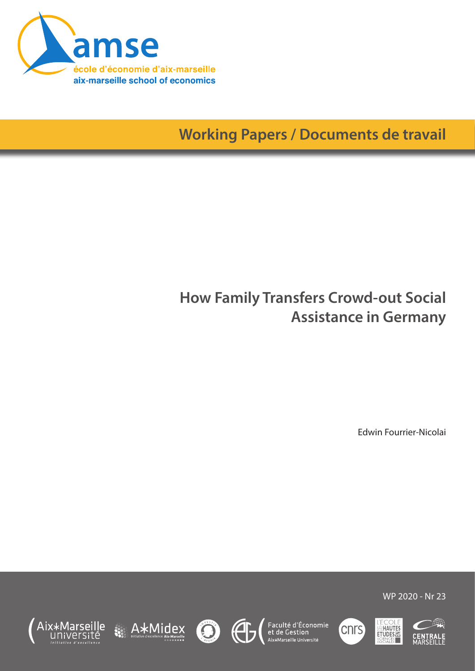

# **Working Papers / Documents de travail**

## **How Family Transfers Crowd-out Social Assistance in Germany**

Edwin Fourrier-Nicolai













WP 2020 - Nr 23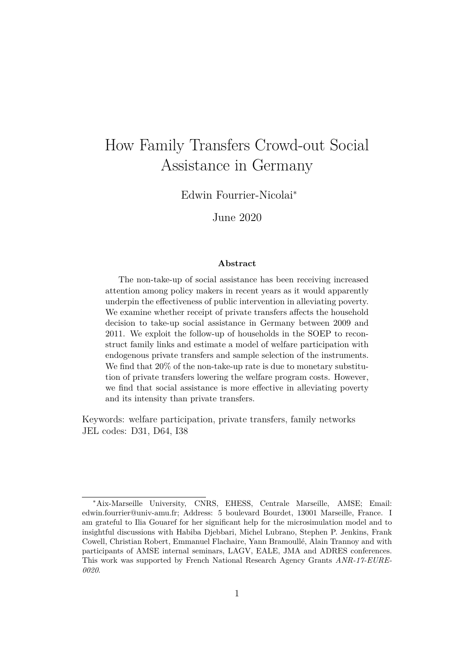## How Family Transfers Crowd-out Social Assistance in Germany

Edwin Fourrier-Nicolai<sup>∗</sup>

June 2020

#### **Abstract**

The non-take-up of social assistance has been receiving increased attention among policy makers in recent years as it would apparently underpin the effectiveness of public intervention in alleviating poverty. We examine whether receipt of private transfers affects the household decision to take-up social assistance in Germany between 2009 and 2011. We exploit the follow-up of households in the SOEP to reconstruct family links and estimate a model of welfare participation with endogenous private transfers and sample selection of the instruments. We find that 20% of the non-take-up rate is due to monetary substitution of private transfers lowering the welfare program costs. However, we find that social assistance is more effective in alleviating poverty and its intensity than private transfers.

Keywords: welfare participation, private transfers, family networks JEL codes: D31, D64, I38

<sup>∗</sup>Aix-Marseille University, CNRS, EHESS, Centrale Marseille, AMSE; Email: edwin.fourrier@univ-amu.fr; Address: 5 boulevard Bourdet, 13001 Marseille, France. I am grateful to Ilia Gouaref for her significant help for the microsimulation model and to insightful discussions with Habiba Djebbari, Michel Lubrano, Stephen P. Jenkins, Frank Cowell, Christian Robert, Emmanuel Flachaire, Yann Bramoullé, Alain Trannoy and with participants of AMSE internal seminars, LAGV, EALE, JMA and ADRES conferences. This work was supported by French National Research Agency Grants *ANR-17-EURE-0020*.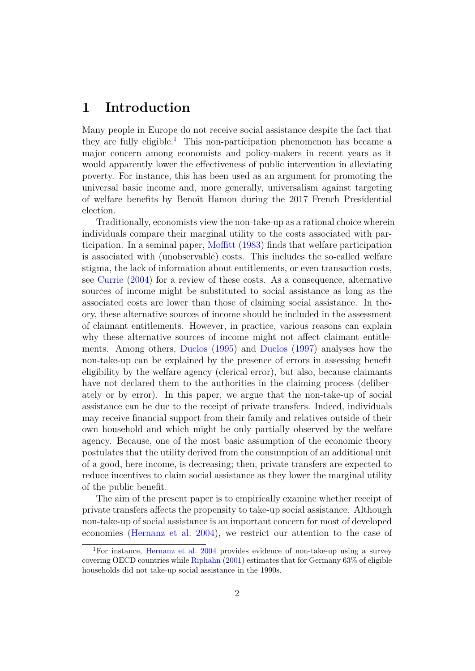### **1 Introduction**

Many people in Europe do not receive social assistance despite the fact that they are fully eligible.<sup>[1](#page-2-0)</sup> This non-participation phenomenon has became a major concern among economists and policy-makers in recent years as it would apparently lower the effectiveness of public intervention in alleviating poverty. For instance, this has been used as an argument for promoting the universal basic income and, more generally, universalism against targeting of welfare benefits by Benoît Hamon during the 2017 French Presidential election.

Traditionally, economists view the non-take-up as a rational choice wherein individuals compare their marginal utility to the costs associated with participation. In a seminal paper, [Moffitt](#page-36-0) [\(1983\)](#page-36-0) finds that welfare participation is associated with (unobservable) costs. This includes the so-called welfare stigma, the lack of information about entitlements, or even transaction costs, see [Currie](#page-35-0) [\(2004\)](#page-35-0) for a review of these costs. As a consequence, alternative sources of income might be substituted to social assistance as long as the associated costs are lower than those of claiming social assistance. In theory, these alternative sources of income should be included in the assessment of claimant entitlements. However, in practice, various reasons can explain why these alternative sources of income might not affect claimant entitlements. Among others, [Duclos](#page-35-1) [\(1995\)](#page-35-1) and [Duclos](#page-35-2) [\(1997\)](#page-35-2) analyses how the non-take-up can be explained by the presence of errors in assessing benefit eligibility by the welfare agency (clerical error), but also, because claimants have not declared them to the authorities in the claiming process (deliberately or by error). In this paper, we argue that the non-take-up of social assistance can be due to the receipt of private transfers. Indeed, individuals may receive financial support from their family and relatives outside of their own household and which might be only partially observed by the welfare agency. Because, one of the most basic assumption of the economic theory postulates that the utility derived from the consumption of an additional unit of a good, here income, is decreasing; then, private transfers are expected to reduce incentives to claim social assistance as they lower the marginal utility of the public benefit.

The aim of the present paper is to empirically examine whether receipt of private transfers affects the propensity to take-up social assistance. Although non-take-up of social assistance is an important concern for most of developed economies [\(Hernanz et al.](#page-36-1) [2004\)](#page-36-1), we restrict our attention to the case of

<span id="page-2-0"></span><sup>1</sup>For instance, [Hernanz et al.](#page-36-1) [2004](#page-36-1) provides evidence of non-take-up using a survey covering OECD countries while [Riphahn](#page-36-2) [\(2001\)](#page-36-2) estimates that for Germany 63% of eligible households did not take-up social assistance in the 1990s.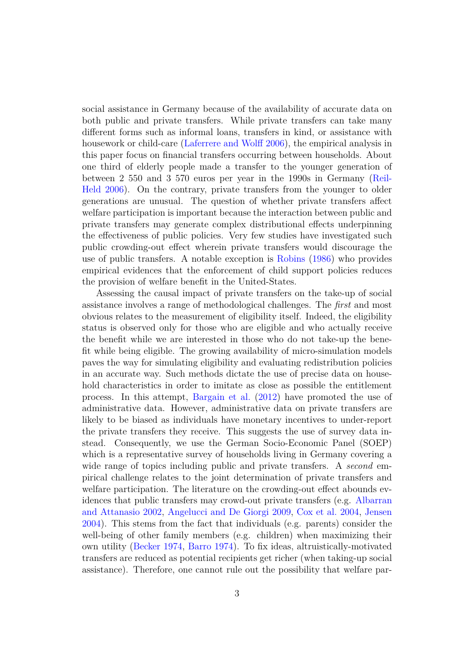social assistance in Germany because of the availability of accurate data on both public and private transfers. While private transfers can take many different forms such as informal loans, transfers in kind, or assistance with housework or child-care [\(Laferrere and Wolff](#page-36-3) [2006\)](#page-36-3), the empirical analysis in this paper focus on financial transfers occurring between households. About one third of elderly people made a transfer to the younger generation of between 2 550 and 3 570 euros per year in the 1990s in Germany [\(Reil-](#page-36-4)[Held](#page-36-4) [2006\)](#page-36-4). On the contrary, private transfers from the younger to older generations are unusual. The question of whether private transfers affect welfare participation is important because the interaction between public and private transfers may generate complex distributional effects underpinning the effectiveness of public policies. Very few studies have investigated such public crowding-out effect wherein private transfers would discourage the use of public transfers. A notable exception is [Robins](#page-36-5) [\(1986\)](#page-36-5) who provides empirical evidences that the enforcement of child support policies reduces the provision of welfare benefit in the United-States.

Assessing the causal impact of private transfers on the take-up of social assistance involves a range of methodological challenges. The *first* and most obvious relates to the measurement of eligibility itself. Indeed, the eligibility status is observed only for those who are eligible and who actually receive the benefit while we are interested in those who do not take-up the benefit while being eligible. The growing availability of micro-simulation models paves the way for simulating eligibility and evaluating redistribution policies in an accurate way. Such methods dictate the use of precise data on household characteristics in order to imitate as close as possible the entitlement process. In this attempt, [Bargain et al.](#page-34-0) [\(2012\)](#page-34-0) have promoted the use of administrative data. However, administrative data on private transfers are likely to be biased as individuals have monetary incentives to under-report the private transfers they receive. This suggests the use of survey data instead. Consequently, we use the German Socio-Economic Panel (SOEP) which is a representative survey of households living in Germany covering a wide range of topics including public and private transfers. A *second* empirical challenge relates to the joint determination of private transfers and welfare participation. The literature on the crowding-out effect abounds evidences that public transfers may crowd-out private transfers (e.g. [Albarran](#page-34-1) [and Attanasio](#page-34-1) [2002,](#page-34-1) [Angelucci and De Giorgi](#page-34-2) [2009,](#page-34-2) [Cox et al.](#page-35-3) [2004,](#page-35-3) [Jensen](#page-36-6) [2004\)](#page-36-6). This stems from the fact that individuals (e.g. parents) consider the well-being of other family members (e.g. children) when maximizing their own utility [\(Becker](#page-34-3) [1974,](#page-34-3) [Barro](#page-34-4) [1974\)](#page-34-4). To fix ideas, altruistically-motivated transfers are reduced as potential recipients get richer (when taking-up social assistance). Therefore, one cannot rule out the possibility that welfare par-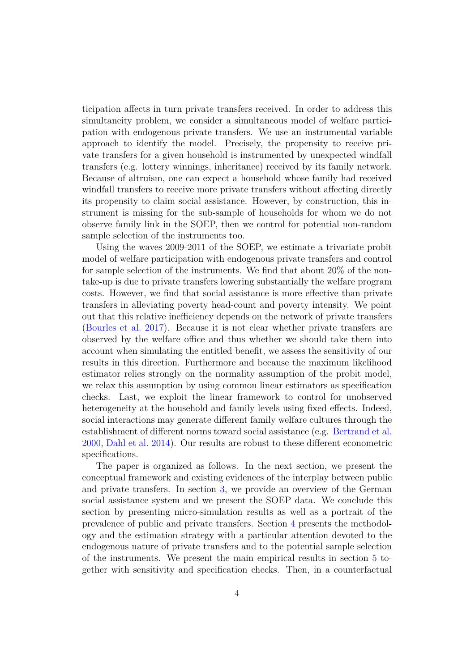ticipation affects in turn private transfers received. In order to address this simultaneity problem, we consider a simultaneous model of welfare participation with endogenous private transfers. We use an instrumental variable approach to identify the model. Precisely, the propensity to receive private transfers for a given household is instrumented by unexpected windfall transfers (e.g. lottery winnings, inheritance) received by its family network. Because of altruism, one can expect a household whose family had received windfall transfers to receive more private transfers without affecting directly its propensity to claim social assistance. However, by construction, this instrument is missing for the sub-sample of households for whom we do not observe family link in the SOEP, then we control for potential non-random sample selection of the instruments too.

Using the waves 2009-2011 of the SOEP, we estimate a trivariate probit model of welfare participation with endogenous private transfers and control for sample selection of the instruments. We find that about 20% of the nontake-up is due to private transfers lowering substantially the welfare program costs. However, we find that social assistance is more effective than private transfers in alleviating poverty head-count and poverty intensity. We point out that this relative inefficiency depends on the network of private transfers [\(Bourles et al.](#page-34-5) [2017\)](#page-34-5). Because it is not clear whether private transfers are observed by the welfare office and thus whether we should take them into account when simulating the entitled benefit, we assess the sensitivity of our results in this direction. Furthermore and because the maximum likelihood estimator relies strongly on the normality assumption of the probit model, we relax this assumption by using common linear estimators as specification checks. Last, we exploit the linear framework to control for unobserved heterogeneity at the household and family levels using fixed effects. Indeed, social interactions may generate different family welfare cultures through the establishment of different norms toward social assistance (e.g. [Bertrand et al.](#page-34-6) [2000,](#page-34-6) [Dahl et al.](#page-35-4) [2014\)](#page-35-4). Our results are robust to these different econometric specifications.

The paper is organized as follows. In the next section, we present the conceptual framework and existing evidences of the interplay between public and private transfers. In section [3,](#page-8-0) we provide an overview of the German social assistance system and we present the SOEP data. We conclude this section by presenting micro-simulation results as well as a portrait of the prevalence of public and private transfers. Section [4](#page-15-0) presents the methodology and the estimation strategy with a particular attention devoted to the endogenous nature of private transfers and to the potential sample selection of the instruments. We present the main empirical results in section [5](#page-24-0) together with sensitivity and specification checks. Then, in a counterfactual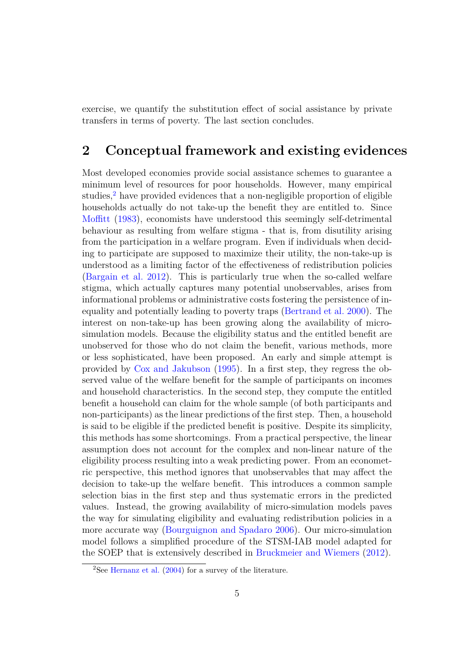exercise, we quantify the substitution effect of social assistance by private transfers in terms of poverty. The last section concludes.

### **2 Conceptual framework and existing evidences**

Most developed economies provide social assistance schemes to guarantee a minimum level of resources for poor households. However, many empirical studies,<sup>[2](#page-5-0)</sup> have provided evidences that a non-negligible proportion of eligible households actually do not take-up the benefit they are entitled to. Since [Moffitt](#page-36-0) [\(1983\)](#page-36-0), economists have understood this seemingly self-detrimental behaviour as resulting from welfare stigma - that is, from disutility arising from the participation in a welfare program. Even if individuals when deciding to participate are supposed to maximize their utility, the non-take-up is understood as a limiting factor of the effectiveness of redistribution policies [\(Bargain et al.](#page-34-0) [2012\)](#page-34-0). This is particularly true when the so-called welfare stigma, which actually captures many potential unobservables, arises from informational problems or administrative costs fostering the persistence of inequality and potentially leading to poverty traps [\(Bertrand et al.](#page-34-6) [2000\)](#page-34-6). The interest on non-take-up has been growing along the availability of microsimulation models. Because the eligibility status and the entitled benefit are unobserved for those who do not claim the benefit, various methods, more or less sophisticated, have been proposed. An early and simple attempt is provided by [Cox and Jakubson](#page-35-5) [\(1995\)](#page-35-5). In a first step, they regress the observed value of the welfare benefit for the sample of participants on incomes and household characteristics. In the second step, they compute the entitled benefit a household can claim for the whole sample (of both participants and non-participants) as the linear predictions of the first step. Then, a household is said to be eligible if the predicted benefit is positive. Despite its simplicity, this methods has some shortcomings. From a practical perspective, the linear assumption does not account for the complex and non-linear nature of the eligibility process resulting into a weak predicting power. From an econometric perspective, this method ignores that unobservables that may affect the decision to take-up the welfare benefit. This introduces a common sample selection bias in the first step and thus systematic errors in the predicted values. Instead, the growing availability of micro-simulation models paves the way for simulating eligibility and evaluating redistribution policies in a more accurate way [\(Bourguignon and Spadaro](#page-34-7) [2006\)](#page-34-7). Our micro-simulation model follows a simplified procedure of the STSM-IAB model adapted for the SOEP that is extensively described in [Bruckmeier and Wiemers](#page-34-8) [\(2012\)](#page-34-8).

<span id="page-5-0"></span><sup>&</sup>lt;sup>2</sup>See [Hernanz et al.](#page-36-1)  $(2004)$  for a survey of the literature.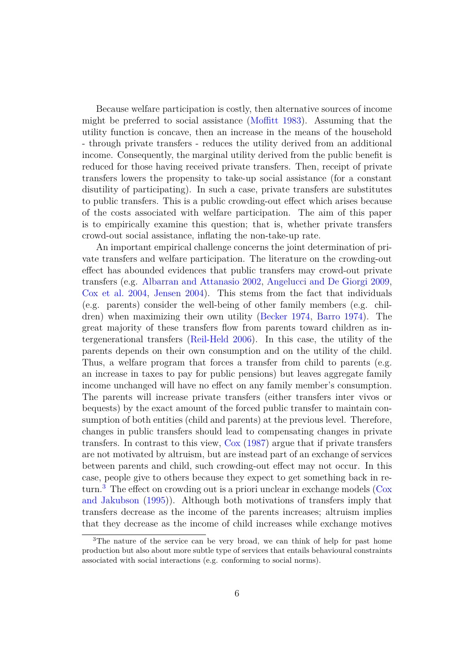Because welfare participation is costly, then alternative sources of income might be preferred to social assistance [\(Moffitt](#page-36-0) [1983\)](#page-36-0). Assuming that the utility function is concave, then an increase in the means of the household - through private transfers - reduces the utility derived from an additional income. Consequently, the marginal utility derived from the public benefit is reduced for those having received private transfers. Then, receipt of private transfers lowers the propensity to take-up social assistance (for a constant disutility of participating). In such a case, private transfers are substitutes to public transfers. This is a public crowding-out effect which arises because of the costs associated with welfare participation. The aim of this paper is to empirically examine this question; that is, whether private transfers crowd-out social assistance, inflating the non-take-up rate.

An important empirical challenge concerns the joint determination of private transfers and welfare participation. The literature on the crowding-out effect has abounded evidences that public transfers may crowd-out private transfers (e.g. [Albarran and Attanasio](#page-34-1) [2002,](#page-34-1) [Angelucci and De Giorgi](#page-34-2) [2009,](#page-34-2) [Cox et al.](#page-35-3) [2004,](#page-35-3) [Jensen](#page-36-6) [2004\)](#page-36-6). This stems from the fact that individuals (e.g. parents) consider the well-being of other family members (e.g. children) when maximizing their own utility [\(Becker](#page-34-3) [1974,](#page-34-3) [Barro](#page-34-4) [1974\)](#page-34-4). The great majority of these transfers flow from parents toward children as intergenerational transfers [\(Reil-Held](#page-36-4) [2006\)](#page-36-4). In this case, the utility of the parents depends on their own consumption and on the utility of the child. Thus, a welfare program that forces a transfer from child to parents (e.g. an increase in taxes to pay for public pensions) but leaves aggregate family income unchanged will have no effect on any family member's consumption. The parents will increase private transfers (either transfers inter vivos or bequests) by the exact amount of the forced public transfer to maintain consumption of both entities (child and parents) at the previous level. Therefore, changes in public transfers should lead to compensating changes in private transfers. In contrast to this view, [Cox](#page-34-9) [\(1987\)](#page-34-9) argue that if private transfers are not motivated by altruism, but are instead part of an exchange of services between parents and child, such crowding-out effect may not occur. In this case, people give to others because they expect to get something back in re- $turn.<sup>3</sup>$  $turn.<sup>3</sup>$  $turn.<sup>3</sup>$  The effect on crowding out is a priori unclear in exchange models [\(Cox](#page-35-5) [and Jakubson](#page-35-5) [\(1995\)](#page-35-5)). Although both motivations of transfers imply that transfers decrease as the income of the parents increases; altruism implies that they decrease as the income of child increases while exchange motives

<span id="page-6-0"></span><sup>3</sup>The nature of the service can be very broad, we can think of help for past home production but also about more subtle type of services that entails behavioural constraints associated with social interactions (e.g. conforming to social norms).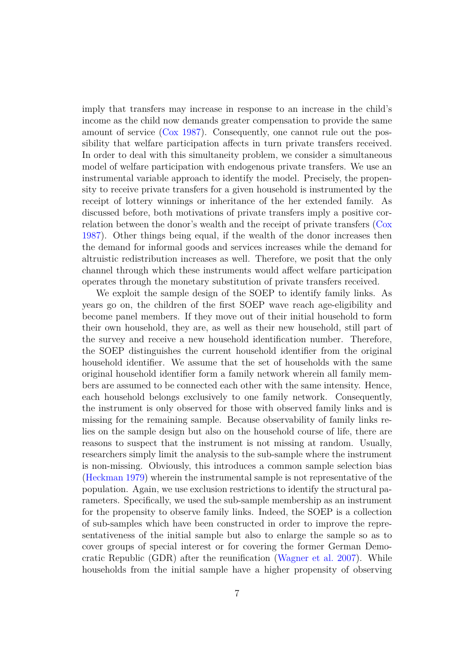imply that transfers may increase in response to an increase in the child's income as the child now demands greater compensation to provide the same amount of service [\(Cox](#page-34-9) [1987\)](#page-34-9). Consequently, one cannot rule out the possibility that welfare participation affects in turn private transfers received. In order to deal with this simultaneity problem, we consider a simultaneous model of welfare participation with endogenous private transfers. We use an instrumental variable approach to identify the model. Precisely, the propensity to receive private transfers for a given household is instrumented by the receipt of lottery winnings or inheritance of the her extended family. As discussed before, both motivations of private transfers imply a positive correlation between the donor's wealth and the receipt of private transfers [\(Cox](#page-34-9) [1987\)](#page-34-9). Other things being equal, if the wealth of the donor increases then the demand for informal goods and services increases while the demand for altruistic redistribution increases as well. Therefore, we posit that the only channel through which these instruments would affect welfare participation operates through the monetary substitution of private transfers received.

We exploit the sample design of the SOEP to identify family links. As years go on, the children of the first SOEP wave reach age-eligibility and become panel members. If they move out of their initial household to form their own household, they are, as well as their new household, still part of the survey and receive a new household identification number. Therefore, the SOEP distinguishes the current household identifier from the original household identifier. We assume that the set of households with the same original household identifier form a family network wherein all family members are assumed to be connected each other with the same intensity. Hence, each household belongs exclusively to one family network. Consequently, the instrument is only observed for those with observed family links and is missing for the remaining sample. Because observability of family links relies on the sample design but also on the household course of life, there are reasons to suspect that the instrument is not missing at random. Usually, researchers simply limit the analysis to the sub-sample where the instrument is non-missing. Obviously, this introduces a common sample selection bias [\(Heckman](#page-35-6) [1979\)](#page-35-6) wherein the instrumental sample is not representative of the population. Again, we use exclusion restrictions to identify the structural parameters. Specifically, we used the sub-sample membership as an instrument for the propensity to observe family links. Indeed, the SOEP is a collection of sub-samples which have been constructed in order to improve the representativeness of the initial sample but also to enlarge the sample so as to cover groups of special interest or for covering the former German Democratic Republic (GDR) after the reunification [\(Wagner et al.](#page-36-7) [2007\)](#page-36-7). While households from the initial sample have a higher propensity of observing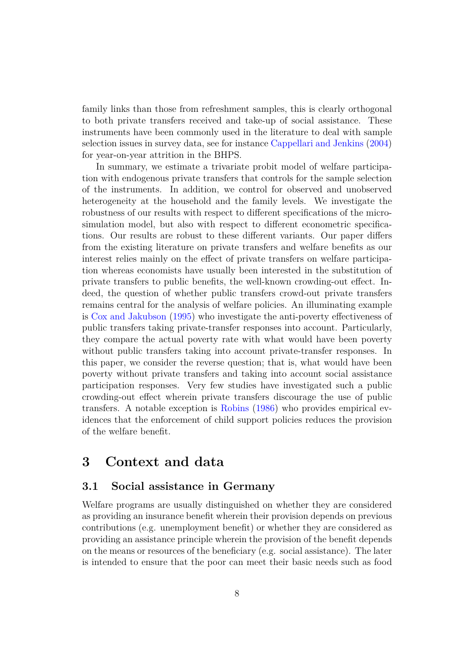family links than those from refreshment samples, this is clearly orthogonal to both private transfers received and take-up of social assistance. These instruments have been commonly used in the literature to deal with sample selection issues in survey data, see for instance [Cappellari and Jenkins](#page-34-10) [\(2004\)](#page-34-10) for year-on-year attrition in the BHPS.

In summary, we estimate a trivariate probit model of welfare participation with endogenous private transfers that controls for the sample selection of the instruments. In addition, we control for observed and unobserved heterogeneity at the household and the family levels. We investigate the robustness of our results with respect to different specifications of the microsimulation model, but also with respect to different econometric specifications. Our results are robust to these different variants. Our paper differs from the existing literature on private transfers and welfare benefits as our interest relies mainly on the effect of private transfers on welfare participation whereas economists have usually been interested in the substitution of private transfers to public benefits, the well-known crowding-out effect. Indeed, the question of whether public transfers crowd-out private transfers remains central for the analysis of welfare policies. An illuminating example is [Cox and Jakubson](#page-35-5) [\(1995\)](#page-35-5) who investigate the anti-poverty effectiveness of public transfers taking private-transfer responses into account. Particularly, they compare the actual poverty rate with what would have been poverty without public transfers taking into account private-transfer responses. In this paper, we consider the reverse question; that is, what would have been poverty without private transfers and taking into account social assistance participation responses. Very few studies have investigated such a public crowding-out effect wherein private transfers discourage the use of public transfers. A notable exception is [Robins](#page-36-5) [\(1986\)](#page-36-5) who provides empirical evidences that the enforcement of child support policies reduces the provision of the welfare benefit.

### <span id="page-8-0"></span>**3 Context and data**

#### **3.1 Social assistance in Germany**

Welfare programs are usually distinguished on whether they are considered as providing an insurance benefit wherein their provision depends on previous contributions (e.g. unemployment benefit) or whether they are considered as providing an assistance principle wherein the provision of the benefit depends on the means or resources of the beneficiary (e.g. social assistance). The later is intended to ensure that the poor can meet their basic needs such as food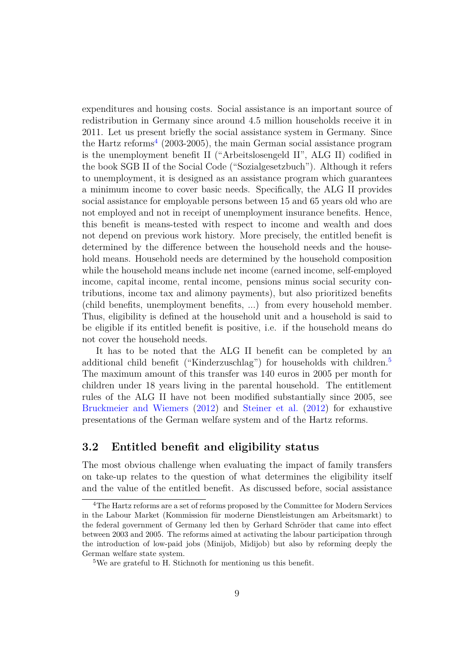expenditures and housing costs. Social assistance is an important source of redistribution in Germany since around 4*.*5 million households receive it in 2011. Let us present briefly the social assistance system in Germany. Since the Hartz reforms<sup>[4](#page-9-0)</sup> (2003-2005), the main German social assistance program is the unemployment benefit II ("Arbeitslosengeld II", ALG II) codified in the book SGB II of the Social Code ("Sozialgesetzbuch"). Although it refers to unemployment, it is designed as an assistance program which guarantees a minimum income to cover basic needs. Specifically, the ALG II provides social assistance for employable persons between 15 and 65 years old who are not employed and not in receipt of unemployment insurance benefits. Hence, this benefit is means-tested with respect to income and wealth and does not depend on previous work history. More precisely, the entitled benefit is determined by the difference between the household needs and the household means. Household needs are determined by the household composition while the household means include net income (earned income, self-employed income, capital income, rental income, pensions minus social security contributions, income tax and alimony payments), but also prioritized benefits (child benefits, unemployment benefits, ...) from every household member. Thus, eligibility is defined at the household unit and a household is said to be eligible if its entitled benefit is positive, i.e. if the household means do not cover the household needs.

It has to be noted that the ALG II benefit can be completed by an additional child benefit ("Kinderzuschlag") for households with children.<sup>[5](#page-9-1)</sup> The maximum amount of this transfer was 140 euros in 2005 per month for children under 18 years living in the parental household. The entitlement rules of the ALG II have not been modified substantially since 2005, see [Bruckmeier and Wiemers](#page-34-8) [\(2012\)](#page-34-8) and [Steiner et al.](#page-36-8) [\(2012\)](#page-36-8) for exhaustive presentations of the German welfare system and of the Hartz reforms.

### **3.2 Entitled benefit and eligibility status**

The most obvious challenge when evaluating the impact of family transfers on take-up relates to the question of what determines the eligibility itself and the value of the entitled benefit. As discussed before, social assistance

<span id="page-9-0"></span><sup>&</sup>lt;sup>4</sup>The Hartz reforms are a set of reforms proposed by the Committee for Modern Services in the Labour Market (Kommission für moderne Dienstleistungen am Arbeitsmarkt) to the federal government of Germany led then by Gerhard Schröder that came into effect between 2003 and 2005. The reforms aimed at activating the labour participation through the introduction of low-paid jobs (Minijob, Midijob) but also by reforming deeply the German welfare state system.

<span id="page-9-1"></span><sup>5</sup>We are grateful to H. Stichnoth for mentioning us this benefit.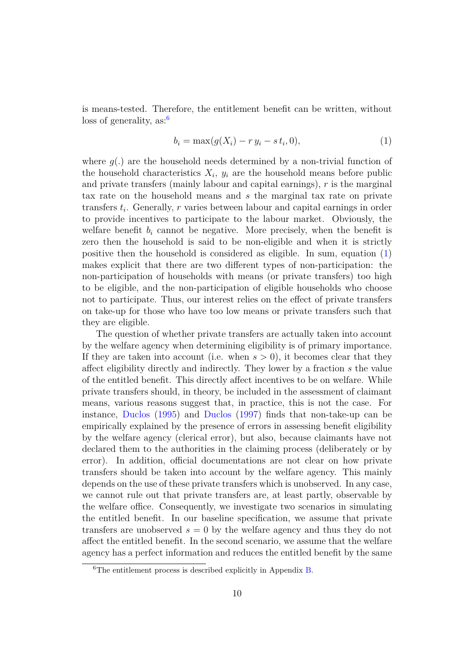is means-tested. Therefore, the entitlement benefit can be written, without  $\cos$  of generality, as:<sup>[6](#page-10-0)</sup>

<span id="page-10-1"></span>
$$
b_i = \max(g(X_i) - r y_i - s t_i, 0),
$$
\n(1)

where  $q(.)$  are the household needs determined by a non-trivial function of the household characteristics  $X_i$ ,  $y_i$  are the household means before public and private transfers (mainly labour and capital earnings), *r* is the marginal tax rate on the household means and *s* the marginal tax rate on private transfers *t<sup>i</sup>* . Generally, *r* varies between labour and capital earnings in order to provide incentives to participate to the labour market. Obviously, the welfare benefit  $b_i$  cannot be negative. More precisely, when the benefit is zero then the household is said to be non-eligible and when it is strictly positive then the household is considered as eligible. In sum, equation [\(1\)](#page-10-1) makes explicit that there are two different types of non-participation: the non-participation of households with means (or private transfers) too high to be eligible, and the non-participation of eligible households who choose not to participate. Thus, our interest relies on the effect of private transfers on take-up for those who have too low means or private transfers such that they are eligible.

The question of whether private transfers are actually taken into account by the welfare agency when determining eligibility is of primary importance. If they are taken into account (i.e. when  $s > 0$ ), it becomes clear that they affect eligibility directly and indirectly. They lower by a fraction *s* the value of the entitled benefit. This directly affect incentives to be on welfare. While private transfers should, in theory, be included in the assessment of claimant means, various reasons suggest that, in practice, this is not the case. For instance, [Duclos](#page-35-1) [\(1995\)](#page-35-1) and [Duclos](#page-35-2) [\(1997\)](#page-35-2) finds that non-take-up can be empirically explained by the presence of errors in assessing benefit eligibility by the welfare agency (clerical error), but also, because claimants have not declared them to the authorities in the claiming process (deliberately or by error). In addition, official documentations are not clear on how private transfers should be taken into account by the welfare agency. This mainly depends on the use of these private transfers which is unobserved. In any case, we cannot rule out that private transfers are, at least partly, observable by the welfare office. Consequently, we investigate two scenarios in simulating the entitled benefit. In our baseline specification, we assume that private transfers are unobserved  $s = 0$  by the welfare agency and thus they do not affect the entitled benefit. In the second scenario, we assume that the welfare agency has a perfect information and reduces the entitled benefit by the same

<span id="page-10-0"></span> ${}^{6}$ The entitlement process is described explicitly in Appendix [B.](#page-38-0)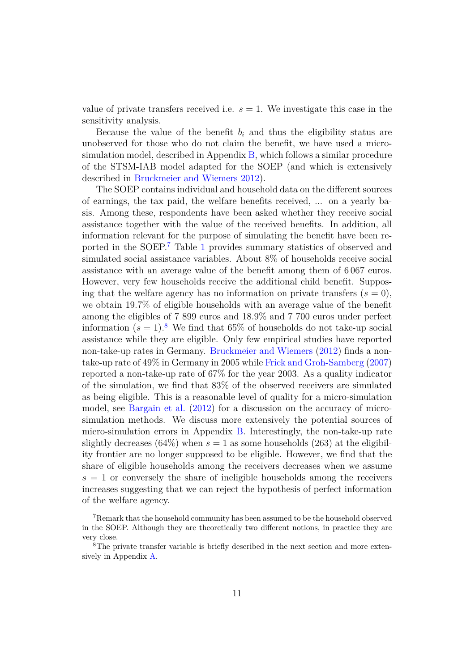value of private transfers received i.e.  $s = 1$ . We investigate this case in the sensitivity analysis.

Because the value of the benefit  $b_i$  and thus the eligibility status are unobserved for those who do not claim the benefit, we have used a microsimulation model, described in Appendix [B,](#page-38-0) which follows a similar procedure of the STSM-IAB model adapted for the SOEP (and which is extensively described in [Bruckmeier and Wiemers](#page-34-8) [2012\)](#page-34-8).

The SOEP contains individual and household data on the different sources of earnings, the tax paid, the welfare benefits received, ... on a yearly basis. Among these, respondents have been asked whether they receive social assistance together with the value of the received benefits. In addition, all information relevant for the purpose of simulating the benefit have been reported in the SOEP.[7](#page-11-0) Table [1](#page-12-0) provides summary statistics of observed and simulated social assistance variables. About 8% of households receive social assistance with an average value of the benefit among them of 6 067 euros. However, very few households receive the additional child benefit. Supposing that the welfare agency has no information on private transfers  $(s = 0)$ , we obtain 19.7% of eligible households with an average value of the benefit among the eligibles of 7 899 euros and 18.9% and 7 700 euros under perfect information  $(s = 1)$ .<sup>[8](#page-11-1)</sup> We find that 65% of households do not take-up social assistance while they are eligible. Only few empirical studies have reported non-take-up rates in Germany. [Bruckmeier and Wiemers](#page-34-8) [\(2012\)](#page-34-8) finds a nontake-up rate of 49% in Germany in 2005 while [Frick and Groh-Samberg](#page-35-7) [\(2007\)](#page-35-7) reported a non-take-up rate of 67% for the year 2003. As a quality indicator of the simulation, we find that 83% of the observed receivers are simulated as being eligible. This is a reasonable level of quality for a micro-simulation model, see [Bargain et al.](#page-34-0) [\(2012\)](#page-34-0) for a discussion on the accuracy of microsimulation methods. We discuss more extensively the potential sources of micro-simulation errors in Appendix [B.](#page-38-0) Interestingly, the non-take-up rate slightly decreases  $(64\%)$  when  $s = 1$  as some households (263) at the eligibility frontier are no longer supposed to be eligible. However, we find that the share of eligible households among the receivers decreases when we assume  $s = 1$  or conversely the share of ineligible households among the receivers increases suggesting that we can reject the hypothesis of perfect information of the welfare agency.

<span id="page-11-0"></span><sup>7</sup>Remark that the household community has been assumed to be the household observed in the SOEP. Although they are theoretically two different notions, in practice they are very close.

<span id="page-11-1"></span><sup>&</sup>lt;sup>8</sup>The private transfer variable is briefly described in the next section and more extensively in Appendix [A.](#page-37-0)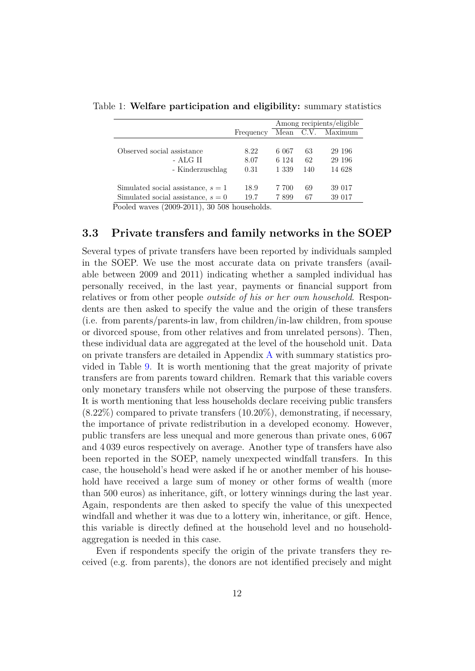<span id="page-12-0"></span>

|                                                |           | Among recipients/eligible |     |                   |  |
|------------------------------------------------|-----------|---------------------------|-----|-------------------|--|
|                                                | Frequency |                           |     | Mean C.V. Maximum |  |
|                                                |           |                           |     |                   |  |
| Observed social assistance                     | 8.22      | 6 067                     | 63  | 29 196            |  |
| - ALG II                                       | 8.07      | 6 1 2 4                   | 62  | 29 196            |  |
| - Kinderzuschlag                               | 0.31      | 1 3 3 9                   | 140 | 14 628            |  |
| Simulated social assistance, $s = 1$           | 18.9      | 7 700                     | 69  | 39 017            |  |
| Simulated social assistance, $s = 0$           | 19.7      | 7899                      | 67  | 39 017            |  |
| Pooled waves $(2009-2011)$ $30.508$ households |           |                           |     |                   |  |

Table 1: **Welfare participation and eligibility:** summary statistics

Pooled waves (2009-2011), 30 508 households.

#### **3.3 Private transfers and family networks in the SOEP**

Several types of private transfers have been reported by individuals sampled in the SOEP. We use the most accurate data on private transfers (available between 2009 and 2011) indicating whether a sampled individual has personally received, in the last year, payments or financial support from relatives or from other people *outside of his or her own household*. Respondents are then asked to specify the value and the origin of these transfers (i.e. from parents/parents-in law, from children/in-law children, from spouse or divorced spouse, from other relatives and from unrelated persons). Then, these individual data are aggregated at the level of the household unit. Data on private transfers are detailed in Appendix [A](#page-37-0) with summary statistics provided in Table [9.](#page-44-0) It is worth mentioning that the great majority of private transfers are from parents toward children. Remark that this variable covers only monetary transfers while not observing the purpose of these transfers. It is worth mentioning that less households declare receiving public transfers (8*.*22%) compared to private transfers (10*.*20%), demonstrating, if necessary, the importance of private redistribution in a developed economy. However, public transfers are less unequal and more generous than private ones, 6 067 and 4 039 euros respectively on average. Another type of transfers have also been reported in the SOEP, namely unexpected windfall transfers. In this case, the household's head were asked if he or another member of his household have received a large sum of money or other forms of wealth (more than 500 euros) as inheritance, gift, or lottery winnings during the last year. Again, respondents are then asked to specify the value of this unexpected windfall and whether it was due to a lottery win, inheritance, or gift. Hence, this variable is directly defined at the household level and no householdaggregation is needed in this case.

Even if respondents specify the origin of the private transfers they received (e.g. from parents), the donors are not identified precisely and might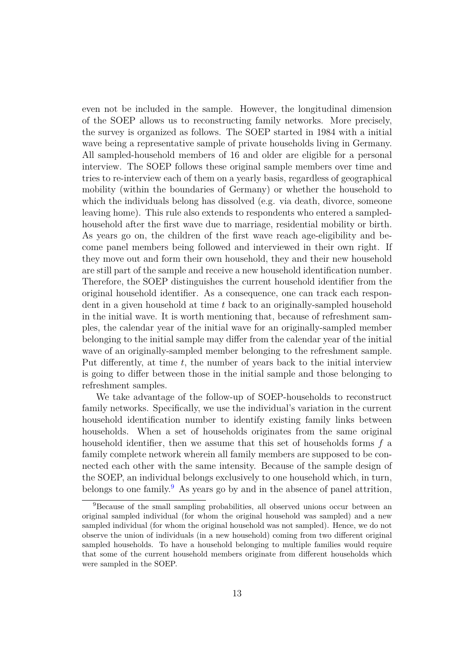even not be included in the sample. However, the longitudinal dimension of the SOEP allows us to reconstructing family networks. More precisely, the survey is organized as follows. The SOEP started in 1984 with a initial wave being a representative sample of private households living in Germany. All sampled-household members of 16 and older are eligible for a personal interview. The SOEP follows these original sample members over time and tries to re-interview each of them on a yearly basis, regardless of geographical mobility (within the boundaries of Germany) or whether the household to which the individuals belong has dissolved (e.g. via death, divorce, someone leaving home). This rule also extends to respondents who entered a sampledhousehold after the first wave due to marriage, residential mobility or birth. As years go on, the children of the first wave reach age-eligibility and become panel members being followed and interviewed in their own right. If they move out and form their own household, they and their new household are still part of the sample and receive a new household identification number. Therefore, the SOEP distinguishes the current household identifier from the original household identifier. As a consequence, one can track each respondent in a given household at time *t* back to an originally-sampled household in the initial wave. It is worth mentioning that, because of refreshment samples, the calendar year of the initial wave for an originally-sampled member belonging to the initial sample may differ from the calendar year of the initial wave of an originally-sampled member belonging to the refreshment sample. Put differently, at time *t*, the number of years back to the initial interview is going to differ between those in the initial sample and those belonging to refreshment samples.

We take advantage of the follow-up of SOEP-households to reconstruct family networks. Specifically, we use the individual's variation in the current household identification number to identify existing family links between households. When a set of households originates from the same original household identifier, then we assume that this set of households forms *f* a family complete network wherein all family members are supposed to be connected each other with the same intensity. Because of the sample design of the SOEP, an individual belongs exclusively to one household which, in turn, belongs to one family.<sup>[9](#page-13-0)</sup> As years go by and in the absence of panel attrition,

<span id="page-13-0"></span><sup>9</sup>Because of the small sampling probabilities, all observed unions occur between an original sampled individual (for whom the original household was sampled) and a new sampled individual (for whom the original household was not sampled). Hence, we do not observe the union of individuals (in a new household) coming from two different original sampled households. To have a household belonging to multiple families would require that some of the current household members originate from different households which were sampled in the SOEP.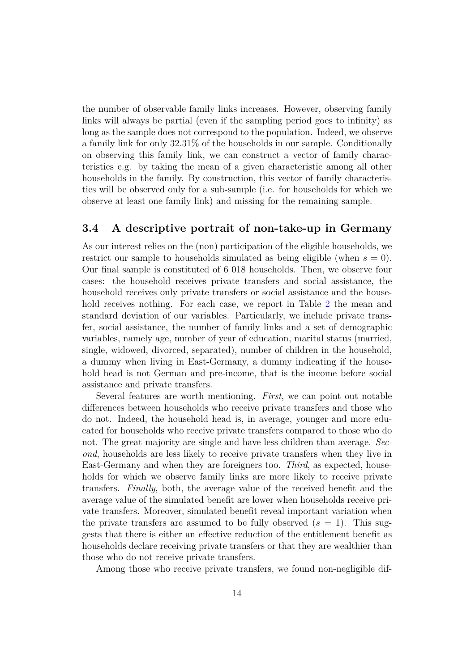the number of observable family links increases. However, observing family links will always be partial (even if the sampling period goes to infinity) as long as the sample does not correspond to the population. Indeed, we observe a family link for only 32.31% of the households in our sample. Conditionally on observing this family link, we can construct a vector of family characteristics e.g. by taking the mean of a given characteristic among all other households in the family. By construction, this vector of family characteristics will be observed only for a sub-sample (i.e. for households for which we observe at least one family link) and missing for the remaining sample.

#### **3.4 A descriptive portrait of non-take-up in Germany**

As our interest relies on the (non) participation of the eligible households, we restrict our sample to households simulated as being eligible (when  $s = 0$ ). Our final sample is constituted of 6 018 households. Then, we observe four cases: the household receives private transfers and social assistance, the household receives only private transfers or social assistance and the house-hold receives nothing. For each case, we report in Table [2](#page-16-0) the mean and standard deviation of our variables. Particularly, we include private transfer, social assistance, the number of family links and a set of demographic variables, namely age, number of year of education, marital status (married, single, widowed, divorced, separated), number of children in the household, a dummy when living in East-Germany, a dummy indicating if the household head is not German and pre-income, that is the income before social assistance and private transfers.

Several features are worth mentioning. *First*, we can point out notable differences between households who receive private transfers and those who do not. Indeed, the household head is, in average, younger and more educated for households who receive private transfers compared to those who do not. The great majority are single and have less children than average. *Second*, households are less likely to receive private transfers when they live in East-Germany and when they are foreigners too. *Third*, as expected, households for which we observe family links are more likely to receive private transfers. *Finally*, both, the average value of the received benefit and the average value of the simulated benefit are lower when households receive private transfers. Moreover, simulated benefit reveal important variation when the private transfers are assumed to be fully observed  $(s = 1)$ . This suggests that there is either an effective reduction of the entitlement benefit as households declare receiving private transfers or that they are wealthier than those who do not receive private transfers.

Among those who receive private transfers, we found non-negligible dif-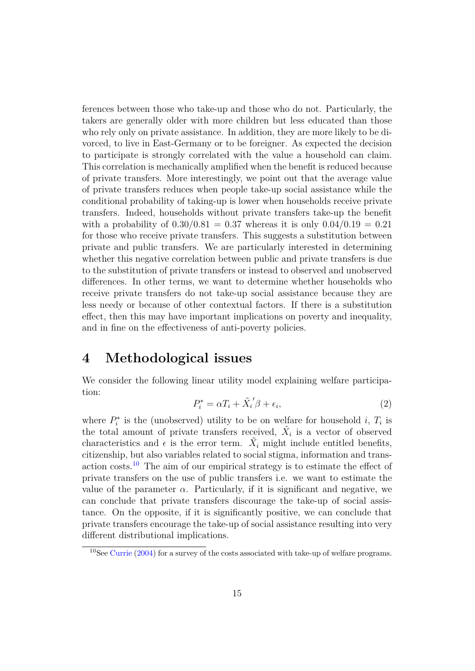ferences between those who take-up and those who do not. Particularly, the takers are generally older with more children but less educated than those who rely only on private assistance. In addition, they are more likely to be divorced, to live in East-Germany or to be foreigner. As expected the decision to participate is strongly correlated with the value a household can claim. This correlation is mechanically amplified when the benefit is reduced because of private transfers. More interestingly, we point out that the average value of private transfers reduces when people take-up social assistance while the conditional probability of taking-up is lower when households receive private transfers. Indeed, households without private transfers take-up the benefit with a probability of  $0.30/0.81 = 0.37$  whereas it is only  $0.04/0.19 = 0.21$ for those who receive private transfers. This suggests a substitution between private and public transfers. We are particularly interested in determining whether this negative correlation between public and private transfers is due to the substitution of private transfers or instead to observed and unobserved differences. In other terms, we want to determine whether households who receive private transfers do not take-up social assistance because they are less needy or because of other contextual factors. If there is a substitution effect, then this may have important implications on poverty and inequality, and in fine on the effectiveness of anti-poverty policies.

### <span id="page-15-0"></span>**4 Methodological issues**

We consider the following linear utility model explaining welfare participation:

$$
P_i^* = \alpha T_i + \tilde{X}_i' \beta + \epsilon_i,\tag{2}
$$

where  $P_i^*$  is the (unobserved) utility to be on welfare for household *i*,  $T_i$  is the total amount of private transfers received,  $\tilde{X}_i$  is a vector of observed characteristics and  $\epsilon$  is the error term.  $\tilde{X}_i$  might include entitled benefits, citizenship, but also variables related to social stigma, information and trans-action costs.<sup>[10](#page-15-1)</sup> The aim of our empirical strategy is to estimate the effect of private transfers on the use of public transfers i.e. we want to estimate the value of the parameter  $\alpha$ . Particularly, if it is significant and negative, we can conclude that private transfers discourage the take-up of social assistance. On the opposite, if it is significantly positive, we can conclude that private transfers encourage the take-up of social assistance resulting into very different distributional implications.

<span id="page-15-1"></span> $10$ See [Currie](#page-35-0) [\(2004\)](#page-35-0) for a survey of the costs associated with take-up of welfare programs.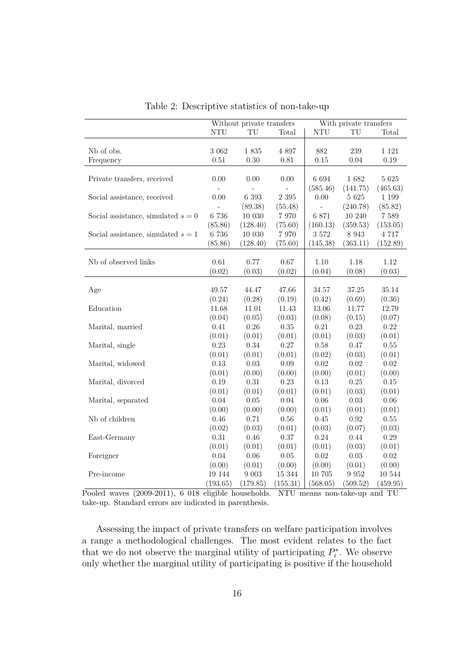|                                      | Without private transfers |           |            | With private transfers |           |          |  |
|--------------------------------------|---------------------------|-----------|------------|------------------------|-----------|----------|--|
|                                      | $\rm{NTU}$                | TU        | Total      | $\rm{NTU}$             | TU        | Total    |  |
|                                      |                           |           |            |                        |           |          |  |
| Nb of obs.                           | $3\ 062$                  | $1\ 835$  | 4 8 9 7    | 882                    | 239       | 1 1 2 1  |  |
| Frequency                            | 0.51                      | $0.30\,$  | $\rm 0.81$ | 0.15                   | 0.04      | 0.19     |  |
|                                      |                           |           |            |                        |           |          |  |
| Private transfers, received          | 0.00                      | 0.00      | 0.00       | 6 6 9 4                | 1682      | $5\ 625$ |  |
|                                      |                           |           |            | (585.46)               | (141.75)  | (465.63) |  |
| Social assistance, received          | 0.00                      | $6\ 393$  | 2 3 9 5    | 0.00                   | $5\ 625$  | 1 1 9 9  |  |
|                                      |                           | (89.38)   | (55.48)    |                        | (240.78)  | (85.82)  |  |
| Social assistance, simulated $s = 0$ | $6\ 736$                  | $10\ 030$ | 7 9 7 0    | 6 871                  | $10\ 240$ | $7\ 589$ |  |
|                                      | (85.86)                   | (128.40)  | (75.60)    | (160.13)               | (359.53)  | (153.05) |  |
| Social assistance, simulated $s = 1$ | 6 736                     | 10 030    | 7 9 7 0    | $3\;572$               | 8 9 4 3   | 4 717    |  |
|                                      | (85.86)                   | (128.40)  | (75.60)    | (145.38)               | (363.11)  | (152.89) |  |
|                                      |                           |           |            |                        |           |          |  |
| Nb of observed links                 | 0.61                      | 0.77      | 0.67       | 1.10                   | 1.18      | 1.12     |  |
|                                      | (0.02)                    | (0.03)    | (0.02)     | (0.04)                 | (0.08)    | (0.03)   |  |
|                                      |                           |           |            |                        |           |          |  |
| Age                                  | 49.57                     | 44.47     | 47.66      | 34.57                  | 37.25     | 35.14    |  |
|                                      | (0.24)                    | (0.28)    | (0.19)     | (0.42)                 | (0.69)    | (0.36)   |  |
| Education                            | 11.68                     | 11.01     | 11.43      | 13.06                  | 11.77     | 12.79    |  |
|                                      | (0.04)                    | (0.05)    | (0.03)     | (0.08)                 | (0.15)    | (0.07)   |  |
| Marital, married                     | 0.41                      | 0.26      | 0.35       | $0.21\,$               | 0.23      | 0.22     |  |
|                                      | (0.01)                    | (0.01)    | (0.01)     | (0.01)                 | (0.03)    | (0.01)   |  |
| Marital, single                      | 0.23                      | $0.34\,$  | $0.27\,$   | 0.58                   | $0.47\,$  | $0.55\,$ |  |
|                                      | (0.01)                    | (0.01)    | (0.01)     | (0.02)                 | (0.03)    | (0.01)   |  |
| Marital, widowed                     | 0.13                      | 0.03      | 0.09       | 0.02                   | 0.02      | 0.02     |  |
|                                      | (0.01)                    | (0.00)    | (0.00)     | (0.00)                 | (0.01)    | (0.00)   |  |
| Marital, divorced                    | 0.19                      | $0.31\,$  | 0.23       | 0.13                   | $0.25\,$  | $0.15\,$ |  |
|                                      | (0.01)                    | (0.01)    | (0.01)     | (0.01)                 | (0.03)    | (0.01)   |  |
| Marital, separated                   | $0.04\,$                  | $0.05\,$  | $0.04\,$   | $0.06\,$               | $0.03\,$  | 0.06     |  |
|                                      | (0.00)                    | (0.00)    | (0.00)     | (0.01)                 | (0.01)    | (0.01)   |  |
| Nb of children                       | 0.46                      | 0.71      | $0.56\,$   | 0.45                   | 0.92      | $0.55\,$ |  |
|                                      | (0.02)                    | (0.03)    | (0.01)     | (0.03)                 | (0.07)    | (0.03)   |  |
| East-Germany                         | $0.31\,$                  | 0.46      | $0.37\,$   | $0.24\,$               | 0.44      | $0.29\,$ |  |
|                                      | (0.01)                    | (0.01)    | (0.01)     | (0.01)                 | (0.03)    | (0.01)   |  |
| Foreigner                            | 0.04                      | $0.06\,$  | $0.05\,$   | $0.02\,$               | $0.03\,$  | 0.02     |  |
|                                      | (0.00)                    | (0.01)    | (0.00)     | (0.00)                 | (0.01)    | (0.00)   |  |
| Pre-income                           | 19 144                    | $9\ 003$  | 15 344     | 10 705                 | 9 9 5 2   | 10 544   |  |
|                                      | (193.65)                  | (179.85)  | (155.31)   | (568.05)               | (509.52)  | (459.95) |  |

<span id="page-16-0"></span>Table 2: Descriptive statistics of non-take-up

Pooled waves (2009-2011), 6 018 eligible households. NTU means non-take-up and TU take-up. Standard errors are indicated in parenthesis.

Assessing the impact of private transfers on welfare participation involves a range a methodological challenges. The most evident relates to the fact that we do not observe the marginal utility of participating  $P_i^*$ . We observe only whether the marginal utility of participating is positive if the household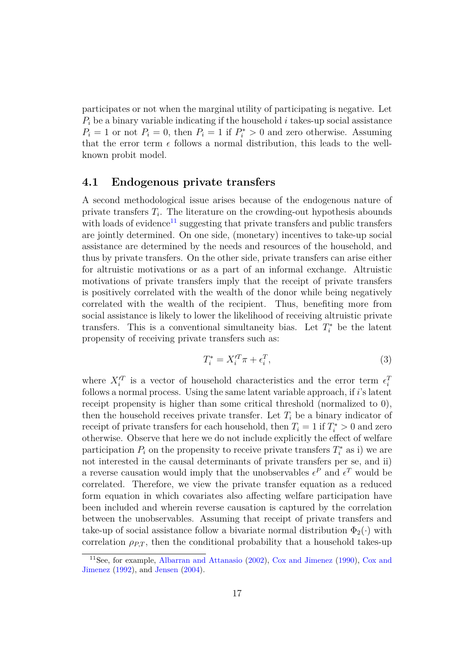participates or not when the marginal utility of participating is negative. Let *P<sup>i</sup>* be a binary variable indicating if the household *i* takes-up social assistance  $P_i = 1$  or not  $P_i = 0$ , then  $P_i = 1$  if  $P_i^* > 0$  and zero otherwise. Assuming that the error term  $\epsilon$  follows a normal distribution, this leads to the wellknown probit model.

### **4.1 Endogenous private transfers**

A second methodological issue arises because of the endogenous nature of private transfers *T<sup>i</sup>* . The literature on the crowding-out hypothesis abounds with loads of evidence<sup>[11](#page-17-0)</sup> suggesting that private transfers and public transfers are jointly determined. On one side, (monetary) incentives to take-up social assistance are determined by the needs and resources of the household, and thus by private transfers. On the other side, private transfers can arise either for altruistic motivations or as a part of an informal exchange. Altruistic motivations of private transfers imply that the receipt of private transfers is positively correlated with the wealth of the donor while being negatively correlated with the wealth of the recipient. Thus, benefiting more from social assistance is likely to lower the likelihood of receiving altruistic private transfers. This is a conventional simultaneity bias. Let  $T_i^*$  be the latent propensity of receiving private transfers such as:

$$
T_i^* = X_i'^T \pi + \epsilon_i^T,\tag{3}
$$

where  $X_i^{\prime T}$  is a vector of household characteristics and the error term  $\epsilon_i^T$ follows a normal process. Using the same latent variable approach, if *i*'s latent receipt propensity is higher than some critical threshold (normalized to 0), then the household receives private transfer. Let  $T_i$  be a binary indicator of receipt of private transfers for each household, then  $T_i = 1$  if  $T_i^* > 0$  and zero otherwise. Observe that here we do not include explicitly the effect of welfare participation  $P_i$  on the propensity to receive private transfers  $T_i^*$  as i) we are not interested in the causal determinants of private transfers per se, and ii) a reverse causation would imply that the unobservables  $\epsilon^P$  and  $\epsilon^T$  would be correlated. Therefore, we view the private transfer equation as a reduced form equation in which covariates also affecting welfare participation have been included and wherein reverse causation is captured by the correlation between the unobservables. Assuming that receipt of private transfers and take-up of social assistance follow a bivariate normal distribution  $\Phi_2(\cdot)$  with correlation  $\rho_{PT}$ , then the conditional probability that a household takes-up

<span id="page-17-0"></span><sup>11</sup>See, for example, [Albarran and Attanasio](#page-34-1) [\(2002\)](#page-34-1), [Cox and Jimenez](#page-35-8) [\(1990\)](#page-35-8), [Cox and](#page-35-9) [Jimenez](#page-35-9) [\(1992\)](#page-35-9), and [Jensen](#page-36-6) [\(2004\)](#page-36-6).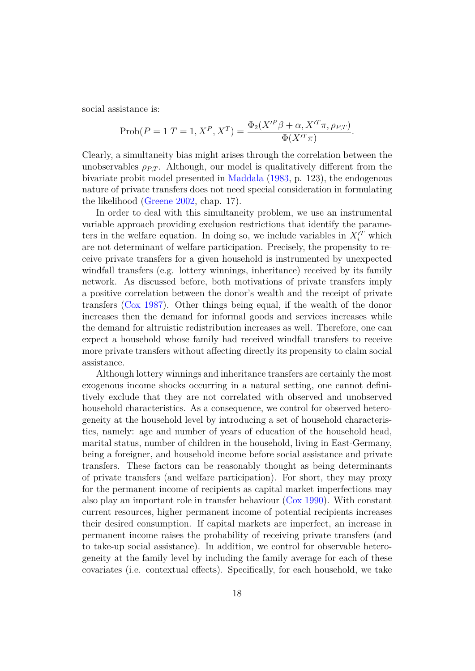social assistance is:

$$
\text{Prob}(P = 1 | T = 1, X^P, X^T) = \frac{\Phi_2(X'^P \beta + \alpha, X'^T \pi, \rho_{P,T})}{\Phi(X'^T \pi)}.
$$

Clearly, a simultaneity bias might arises through the correlation between the unobservables  $\rho_{PT}$ . Although, our model is qualitatively different from the bivariate probit model presented in [Maddala](#page-36-9) [\(1983,](#page-36-9) p. 123), the endogenous nature of private transfers does not need special consideration in formulating the likelihood [\(Greene](#page-35-10) [2002,](#page-35-10) chap. 17).

In order to deal with this simultaneity problem, we use an instrumental variable approach providing exclusion restrictions that identify the parameters in the welfare equation. In doing so, we include variables in  $X_i^T$  which are not determinant of welfare participation. Precisely, the propensity to receive private transfers for a given household is instrumented by unexpected windfall transfers (e.g. lottery winnings, inheritance) received by its family network. As discussed before, both motivations of private transfers imply a positive correlation between the donor's wealth and the receipt of private transfers [\(Cox](#page-34-9) [1987\)](#page-34-9). Other things being equal, if the wealth of the donor increases then the demand for informal goods and services increases while the demand for altruistic redistribution increases as well. Therefore, one can expect a household whose family had received windfall transfers to receive more private transfers without affecting directly its propensity to claim social assistance.

Although lottery winnings and inheritance transfers are certainly the most exogenous income shocks occurring in a natural setting, one cannot definitively exclude that they are not correlated with observed and unobserved household characteristics. As a consequence, we control for observed heterogeneity at the household level by introducing a set of household characteristics, namely: age and number of years of education of the household head, marital status, number of children in the household, living in East-Germany, being a foreigner, and household income before social assistance and private transfers. These factors can be reasonably thought as being determinants of private transfers (and welfare participation). For short, they may proxy for the permanent income of recipients as capital market imperfections may also play an important role in transfer behaviour [\(Cox](#page-34-11) [1990\)](#page-34-11). With constant current resources, higher permanent income of potential recipients increases their desired consumption. If capital markets are imperfect, an increase in permanent income raises the probability of receiving private transfers (and to take-up social assistance). In addition, we control for observable heterogeneity at the family level by including the family average for each of these covariates (i.e. contextual effects). Specifically, for each household, we take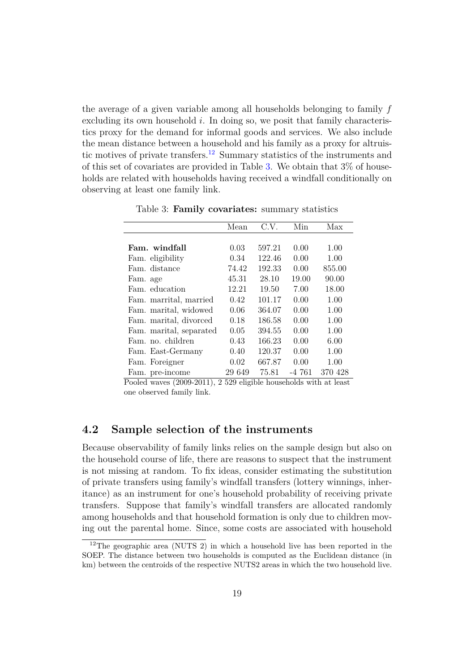the average of a given variable among all households belonging to family *f* excluding its own household *i*. In doing so, we posit that family characteristics proxy for the demand for informal goods and services. We also include the mean distance between a household and his family as a proxy for altruis-tic motives of private transfers.<sup>[12](#page-19-0)</sup> Summary statistics of the instruments and of this set of covariates are provided in Table [3.](#page-19-1) We obtain that 3% of households are related with households having received a windfall conditionally on observing at least one family link.

|                         | Mean   | C.V.   | Min     | Max     |
|-------------------------|--------|--------|---------|---------|
|                         |        |        |         |         |
| Fam. windfall           | 0.03   | 597.21 | 0.00    | 1.00    |
| Fam. eligibility        | 0.34   | 122.46 | 0.00    | 1.00    |
| Fam. distance           | 74.42  | 192.33 | 0.00    | 855.00  |
| Fam. age                | 45.31  | 28.10  | 19.00   | 90.00   |
| Fam. education          | 12.21  | 19.50  | 7.00    | 18.00   |
| Fam. marrital, married  | 0.42   | 101.17 | 0.00    | 1.00    |
| Fam. marital, widowed   | 0.06   | 364.07 | 0.00    | 1.00    |
| Fam. marital, divorced  | 0.18   | 186.58 | 0.00    | 1.00    |
| Fam. marital, separated | 0.05   | 394.55 | 0.00    | 1.00    |
| Fam. no. children       | 0.43   | 166.23 | 0.00    | 6.00    |
| Fam. East-Germany       | 0.40   | 120.37 | 0.00    | 1.00    |
| Fam. Foreigner          | 0.02   | 667.87 | 0.00    | 1.00    |
| Fam. pre-income         | 29 649 | 75.81  | $-4761$ | 370 428 |

<span id="page-19-1"></span>Table 3: **Family covariates:** summary statistics

Pooled waves (2009-2011), 2 529 eligible households with at least one observed family link.

### **4.2 Sample selection of the instruments**

Because observability of family links relies on the sample design but also on the household course of life, there are reasons to suspect that the instrument is not missing at random. To fix ideas, consider estimating the substitution of private transfers using family's windfall transfers (lottery winnings, inheritance) as an instrument for one's household probability of receiving private transfers. Suppose that family's windfall transfers are allocated randomly among households and that household formation is only due to children moving out the parental home. Since, some costs are associated with household

<span id="page-19-0"></span><sup>&</sup>lt;sup>12</sup>The geographic area (NUTS 2) in which a household live has been reported in the SOEP. The distance between two households is computed as the Euclidean distance (in km) between the centroids of the respective NUTS2 areas in which the two household live.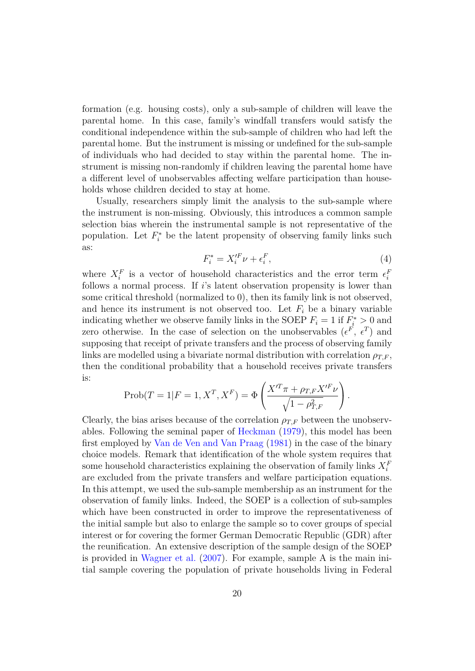formation (e.g. housing costs), only a sub-sample of children will leave the parental home. In this case, family's windfall transfers would satisfy the conditional independence within the sub-sample of children who had left the parental home. But the instrument is missing or undefined for the sub-sample of individuals who had decided to stay within the parental home. The instrument is missing non-randomly if children leaving the parental home have a different level of unobservables affecting welfare participation than households whose children decided to stay at home.

Usually, researchers simply limit the analysis to the sub-sample where the instrument is non-missing. Obviously, this introduces a common sample selection bias wherein the instrumental sample is not representative of the population. Let  $F_i^*$  be the latent propensity of observing family links such as:

$$
F_i^* = X_i^{\prime F} \nu + \epsilon_i^F,\tag{4}
$$

where  $X_i^F$  is a vector of household characteristics and the error term  $\epsilon_i^F$ follows a normal process. If *i*'s latent observation propensity is lower than some critical threshold (normalized to 0), then its family link is not observed, and hence its instrument is not observed too. Let  $F_i$  be a binary variable indicating whether we observe family links in the SOEP  $F_i = 1$  if  $F_i^* > 0$  and zero otherwise. In the case of selection on the unobservables  $(\epsilon^F, \epsilon^T)$  and supposing that receipt of private transfers and the process of observing family links are modelled using a bivariate normal distribution with correlation  $\rho_{TF}$ , then the conditional probability that a household receives private transfers is:

$$
\text{Prob}(T = 1 | F = 1, X^T, X^F) = \Phi\left(\frac{X'^T \pi + \rho_{T,F} X'^F \nu}{\sqrt{1 - \rho_{T,F}^2}}\right).
$$

Clearly, the bias arises because of the correlation  $\rho_{TF}$  between the unobservables. Following the seminal paper of [Heckman](#page-35-6) [\(1979\)](#page-35-6), this model has been first employed by [Van de Ven and Van Praag](#page-36-10) [\(1981\)](#page-36-10) in the case of the binary choice models. Remark that identification of the whole system requires that some household characteristics explaining the observation of family links  $X_i^F$ are excluded from the private transfers and welfare participation equations. In this attempt, we used the sub-sample membership as an instrument for the observation of family links. Indeed, the SOEP is a collection of sub-samples which have been constructed in order to improve the representativeness of the initial sample but also to enlarge the sample so to cover groups of special interest or for covering the former German Democratic Republic (GDR) after the reunification. An extensive description of the sample design of the SOEP is provided in [Wagner et al.](#page-36-7)  $(2007)$ . For example, sample A is the main initial sample covering the population of private households living in Federal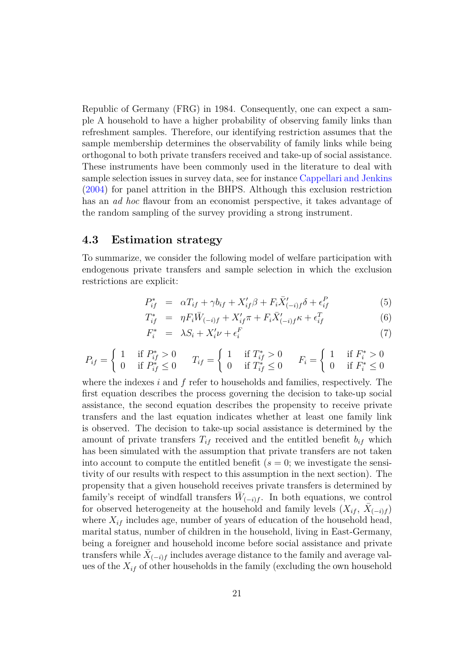Republic of Germany (FRG) in 1984. Consequently, one can expect a sample A household to have a higher probability of observing family links than refreshment samples. Therefore, our identifying restriction assumes that the sample membership determines the observability of family links while being orthogonal to both private transfers received and take-up of social assistance. These instruments have been commonly used in the literature to deal with sample selection issues in survey data, see for instance [Cappellari and Jenkins](#page-34-10) [\(2004\)](#page-34-10) for panel attrition in the BHPS. Although this exclusion restriction has an *ad hoc* flavour from an economist perspective, it takes advantage of the random sampling of the survey providing a strong instrument.

#### **4.3 Estimation strategy**

To summarize, we consider the following model of welfare participation with endogenous private transfers and sample selection in which the exclusion restrictions are explicit:

<span id="page-21-0"></span>
$$
P_{if}^{*} = \alpha T_{if} + \gamma b_{if} + X_{if}'\beta + F_{i}\overline{X}_{(-i)f}'\delta + \epsilon_{if}^{P}
$$
\n
$$
\tag{5}
$$

$$
T_{if}^{*} = \eta F_{i} \bar{W}_{(-i)f} + X_{if}' \pi + F_{i} \bar{X}_{(-i)f}^{\prime} \kappa + \epsilon_{if}^{T}
$$
(6)

$$
F_i^* = \lambda S_i + X_i' \nu + \epsilon_i^F \tag{7}
$$

$$
P_{if} = \begin{cases} 1 & \text{if } P_{if}^* > 0 \\ 0 & \text{if } P_{if}^* \le 0 \end{cases} \quad T_{if} = \begin{cases} 1 & \text{if } T_{if}^* > 0 \\ 0 & \text{if } T_{if}^* \le 0 \end{cases} \quad F_i = \begin{cases} 1 & \text{if } F_i^* > 0 \\ 0 & \text{if } F_i^* \le 0 \end{cases}
$$

where the indexes *i* and *f* refer to households and families, respectively. The first equation describes the process governing the decision to take-up social assistance, the second equation describes the propensity to receive private transfers and the last equation indicates whether at least one family link is observed. The decision to take-up social assistance is determined by the amount of private transfers  $T_{if}$  received and the entitled benefit  $b_{if}$  which has been simulated with the assumption that private transfers are not taken into account to compute the entitled benefit  $(s = 0; \text{ we investigate the sensi$ tivity of our results with respect to this assumption in the next section). The propensity that a given household receives private transfers is determined by family's receipt of windfall transfers  $\bar{W}_{(-i)f}$ . In both equations, we control for observed heterogeneity at the household and family levels  $(X_{if}, \overline{X}_{(-i)f})$ where  $X_{if}$  includes age, number of years of education of the household head, marital status, number of children in the household, living in East-Germany, being a foreigner and household income before social assistance and private  $\text{trans}$  ferms while  $\bar{X}_{(-i)f}$  includes average distance to the family and average values of the  $X_{if}$  of other households in the family (excluding the own household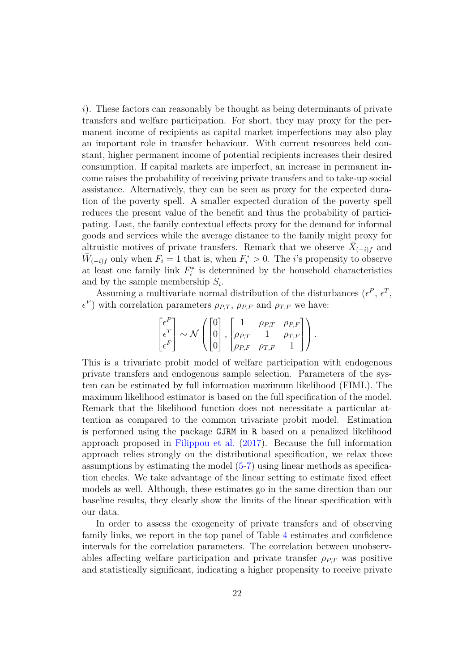*i*). These factors can reasonably be thought as being determinants of private transfers and welfare participation. For short, they may proxy for the permanent income of recipients as capital market imperfections may also play an important role in transfer behaviour. With current resources held constant, higher permanent income of potential recipients increases their desired consumption. If capital markets are imperfect, an increase in permanent income raises the probability of receiving private transfers and to take-up social assistance. Alternatively, they can be seen as proxy for the expected duration of the poverty spell. A smaller expected duration of the poverty spell reduces the present value of the benefit and thus the probability of participating. Last, the family contextual effects proxy for the demand for informal goods and services while the average distance to the family might proxy for altruistic motives of private transfers. Remark that we observe  $\bar{X}_{(-i)f}$  and  $\bar{W}_{(-i)f}$  only when  $F_i = 1$  that is, when  $F_i^* > 0$ . The *i*'s propensity to observe at least one family link  $F_i^*$  is determined by the household characteristics and by the sample membership *S<sup>i</sup>* .

Assuming a multivariate normal distribution of the disturbances  $(\epsilon^P, \epsilon^T,$  $\epsilon^F$ ) with correlation parameters  $\rho_{P,T}$ ,  $\rho_{P,F}$  and  $\rho_{T,F}$  we have:

$$
\begin{bmatrix} \epsilon^P \\ \epsilon^T \\ \epsilon^F \end{bmatrix} \sim \mathcal{N} \left( \begin{bmatrix} 0 \\ 0 \\ 0 \end{bmatrix}, \begin{bmatrix} 1 & \rho_{P,T} & \rho_{P,F} \\ \rho_{P,T} & 1 & \rho_{T,F} \\ \rho_{P,F} & \rho_{T,F} & 1 \end{bmatrix} \right).
$$

This is a trivariate probit model of welfare participation with endogenous private transfers and endogenous sample selection. Parameters of the system can be estimated by full information maximum likelihood (FIML). The maximum likelihood estimator is based on the full specification of the model. Remark that the likelihood function does not necessitate a particular attention as compared to the common trivariate probit model. Estimation is performed using the package GJRM in R based on a penalized likelihood approach proposed in [Filippou et al.](#page-35-11) [\(2017\)](#page-35-11). Because the full information approach relies strongly on the distributional specification, we relax those assumptions by estimating the model [\(5-7\)](#page-21-0) using linear methods as specification checks. We take advantage of the linear setting to estimate fixed effect models as well. Although, these estimates go in the same direction than our baseline results, they clearly show the limits of the linear specification with our data.

In order to assess the exogeneity of private transfers and of observing family links, we report in the top panel of Table [4](#page-23-0) estimates and confidence intervals for the correlation parameters. The correlation between unobservables affecting welfare participation and private transfer  $\rho_{PT}$  was positive and statistically significant, indicating a higher propensity to receive private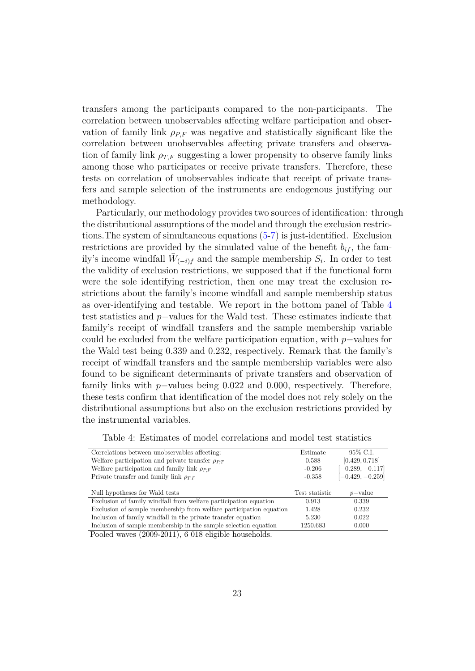transfers among the participants compared to the non-participants. The correlation between unobservables affecting welfare participation and observation of family link  $\rho_{P,F}$  was negative and statistically significant like the correlation between unobservables affecting private transfers and observation of family link  $\rho_{T,F}$  suggesting a lower propensity to observe family links among those who participates or receive private transfers. Therefore, these tests on correlation of unobservables indicate that receipt of private transfers and sample selection of the instruments are endogenous justifying our methodology.

Particularly, our methodology provides two sources of identification: through the distributional assumptions of the model and through the exclusion restrictions.The system of simultaneous equations [\(5-7\)](#page-21-0) is just-identified. Exclusion restrictions are provided by the simulated value of the benefit  $b_{if}$ , the family's income windfall  $\bar{W}_{(-i)f}$  and the sample membership  $S_i$ . In order to test the validity of exclusion restrictions, we supposed that if the functional form were the sole identifying restriction, then one may treat the exclusion restrictions about the family's income windfall and sample membership status as over-identifying and testable. We report in the bottom panel of Table [4](#page-23-0) test statistics and *p*−values for the Wald test. These estimates indicate that family's receipt of windfall transfers and the sample membership variable could be excluded from the welfare participation equation, with *p*−values for the Wald test being 0.339 and 0.232, respectively. Remark that the family's receipt of windfall transfers and the sample membership variables were also found to be significant determinants of private transfers and observation of family links with *p*−values being 0.022 and 0.000, respectively. Therefore, these tests confirm that identification of the model does not rely solely on the distributional assumptions but also on the exclusion restrictions provided by the instrumental variables.

<span id="page-23-0"></span>

| Table 4: Estimates of model correlations and model test statistics |  |  |  |  |  |  |  |  |
|--------------------------------------------------------------------|--|--|--|--|--|--|--|--|
|--------------------------------------------------------------------|--|--|--|--|--|--|--|--|

| Correlations between unobservables affecting:                      | Estimate       | 95% C.I.           |
|--------------------------------------------------------------------|----------------|--------------------|
| Welfare participation and private transfer $\rho_{PT}$             | 0.588          | [0.429, 0.718]     |
| Welfare participation and family link $\rho_{PF}$                  | $-0.206$       | $[-0.289, -0.117]$ |
| Private transfer and family link $\rho_{T,F}$                      | $-0.358$       | $[-0.429, -0.259]$ |
|                                                                    |                |                    |
|                                                                    |                |                    |
| Null hypotheses for Wald tests                                     | Test statistic | $p$ -value         |
| Exclusion of family windfall from welfare participation equation   | 0.913          | 0.339              |
| Exclusion of sample membership from welfare participation equation | 1.428          | 0.232              |
| Inclusion of family windfall in the private transfer equation      | 5.230          | 0.022              |

Pooled waves (2009-2011), 6 018 eligible households.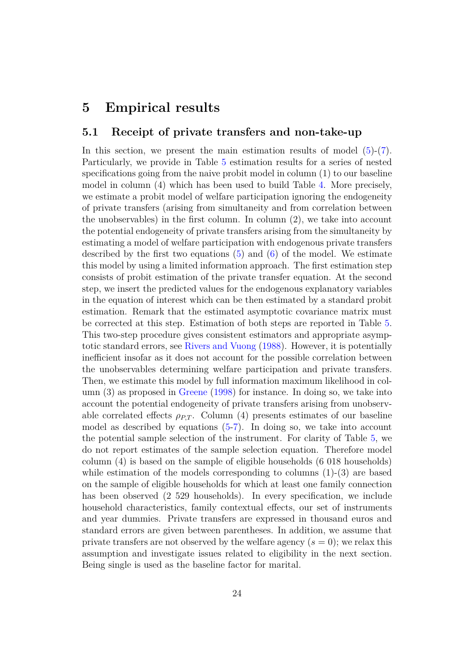### <span id="page-24-0"></span>**5 Empirical results**

#### **5.1 Receipt of private transfers and non-take-up**

In this section, we present the main estimation results of model  $(5)-(7)$  $(5)-(7)$  $(5)-(7)$ . Particularly, we provide in Table [5](#page-25-0) estimation results for a series of nested specifications going from the naive probit model in column (1) to our baseline model in column (4) which has been used to build Table [4.](#page-23-0) More precisely, we estimate a probit model of welfare participation ignoring the endogeneity of private transfers (arising from simultaneity and from correlation between the unobservables) in the first column. In column (2), we take into account the potential endogeneity of private transfers arising from the simultaneity by estimating a model of welfare participation with endogenous private transfers described by the first two equations  $(5)$  and  $(6)$  of the model. We estimate this model by using a limited information approach. The first estimation step consists of probit estimation of the private transfer equation. At the second step, we insert the predicted values for the endogenous explanatory variables in the equation of interest which can be then estimated by a standard probit estimation. Remark that the estimated asymptotic covariance matrix must be corrected at this step. Estimation of both steps are reported in Table [5.](#page-25-0) This two-step procedure gives consistent estimators and appropriate asymptotic standard errors, see [Rivers and Vuong](#page-36-11) [\(1988\)](#page-36-11). However, it is potentially inefficient insofar as it does not account for the possible correlation between the unobservables determining welfare participation and private transfers. Then, we estimate this model by full information maximum likelihood in column (3) as proposed in [Greene](#page-35-12) [\(1998\)](#page-35-12) for instance. In doing so, we take into account the potential endogeneity of private transfers arising from unobservable correlated effects  $\rho_{PT}$ . Column (4) presents estimates of our baseline model as described by equations  $(5-7)$ . In doing so, we take into account the potential sample selection of the instrument. For clarity of Table [5,](#page-25-0) we do not report estimates of the sample selection equation. Therefore model column (4) is based on the sample of eligible households (6 018 households) while estimation of the models corresponding to columns  $(1)-(3)$  are based on the sample of eligible households for which at least one family connection has been observed (2 529 households). In every specification, we include household characteristics, family contextual effects, our set of instruments and year dummies. Private transfers are expressed in thousand euros and standard errors are given between parentheses. In addition, we assume that private transfers are not observed by the welfare agency  $(s = 0)$ ; we relax this assumption and investigate issues related to eligibility in the next section. Being single is used as the baseline factor for marital.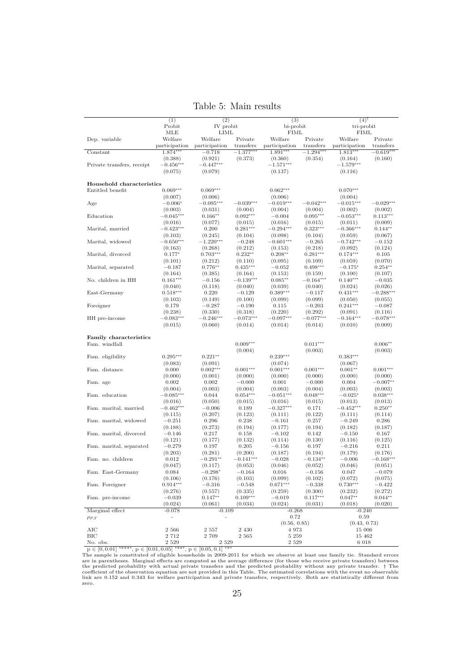|                            | (1)                         | (2)                    |                          | (3)                         |                          | $(4)$ <sup>†</sup>          |                          |
|----------------------------|-----------------------------|------------------------|--------------------------|-----------------------------|--------------------------|-----------------------------|--------------------------|
|                            | Probit                      | IV probit              |                          | bi-probit                   |                          | tri-probit                  |                          |
|                            | MLE                         | LIML                   |                          | <b>FIML</b>                 |                          | FIML                        |                          |
| Dep. variable              | Welfare                     | Welfare                | Private                  | Welfare                     | Private                  | Welfare                     | Private                  |
| Constant                   | participation<br>$1.874***$ | participation          | transfers<br>$-1.377***$ | participation<br>$1.891***$ | transfers<br>$-1.294***$ | participation<br>$1.813***$ | transfers<br>$-0.619***$ |
|                            |                             | $-0.718$               |                          |                             |                          |                             |                          |
| Private transfers, receipt | (0.388)<br>$-0.456***$      | (0.921)<br>$-0.447***$ | (0.373)                  | (0.360)<br>$-1.571***$      | (0.354)                  | (0.164)<br>$-1.579***$      | (0.160)                  |
|                            |                             |                        |                          |                             |                          |                             |                          |
|                            | (0.075)                     | (0.079)                |                          | (0.137)                     |                          | (0.116)                     |                          |
| Household characteristics  |                             |                        |                          |                             |                          |                             |                          |
| Entitled benefit           | $0.069***$                  | $0.069***$             |                          | $0.062***$                  |                          | $0.070***$                  |                          |
|                            | (0.007)                     | (0.006)                |                          | (0.006)                     |                          | (0.004)                     |                          |
| Age                        | $-0.006*$                   | $-0.095***$            | $-0.039***$              | $-0.019***$                 | $-0.042***$              | $-0.015***$                 | $-0.029***$              |
|                            | (0.003)                     | (0.031)                | (0.004)                  | (0.004)                     | (0.004)                  | (0.002)                     | (0.002)                  |
| Education                  | $-0.045***$                 | $0.166**$              | $0.092***$               | $-0.004$                    | $0.095***$               | $-0.053***$                 | $0.113***$               |
|                            | (0.016)                     | (0.077)                | (0.015)                  | (0.016)                     | (0.015)                  | (0.011)                     | (0.009)                  |
| Marital, married           | $-0.423***$                 | 0.200                  | $0.281***$               | $-0.294***$                 | $0.323***$               | $-0.366***$                 | $0.144**$                |
|                            | (0.103)                     | (0.245)                | (0.104)                  | (0.098)                     | (0.104)                  | (0.059)                     | (0.067)                  |
| Marital, widowed           | $-0.650***$                 | $-1.220***$            | $-0.248$                 | $-0.601***$                 | $-0.265$                 | $-0.742***$                 | $-0.152$                 |
|                            | (0.163)                     | (0.268)                | (0.212)                  | (0.153)                     | (0.218)                  | (0.092)                     | (0.124)                  |
| Marital, divorced          | $0.177*$                    | $0.703***$             | $0.232**$                | $0.208**$                   | $0.281***$               | $0.174***$                  | 0.105                    |
|                            | (0.101)                     | (0.212)                | (0.110)                  | (0.095)                     | (0.109)                  | (0.059)                     | (0.070)                  |
| Marital, separated         | $-0.187$                    | $0.776**$              | $0.435***$               | $-0.052$                    | $0.498***$               | $-0.175*$                   | $0.254***$               |
|                            | (0.164)                     | (0.385)                | (0.164)                  | (0.153)                     | (0.159)                  | (0.100)                     | (0.107)                  |
| No. children in HH         | $0.161***$                  | $-0.156$               | $-0.139***$              | $0.085**$                   | $-0.164***$              | $0.140***$                  | $-0.035$                 |
|                            | (0.040)                     | (0.118)                | (0.040)                  | (0.039)                     | (0.040)                  | (0.024)                     | (0.026)                  |
| East-Germany               | $0.518***$                  | 0.220                  | $-0.129$                 | $0.389***$                  | $-0.117$                 | $0.431***$                  | $-0.288***$              |
|                            | (0.103)                     | (0.149)                | (0.100)                  | (0.099)                     | (0.099)                  | (0.050)                     | (0.055)                  |
| Foreigner                  | 0.179                       | $-0.287$               | $-0.190$                 | 0.115                       | $-0.203$                 | $0.241***$                  | $-0.087$                 |
|                            | (0.238)                     | (0.330)                | (0.318)                  | (0.220)                     | (0.292)                  | (0.091)                     | (0.116)                  |
| HH pre-income              | $-0.083***$                 | $-0.246***$            | $-0.073***$              | $-0.097***$                 | $-0.077***$              | $-0.164***$                 | $-0.078***$              |
|                            | (0.015)                     | (0.060)                | (0.014)                  | (0.014)                     | (0.014)                  | (0.010)                     | (0.009)                  |
|                            |                             |                        |                          |                             |                          |                             |                          |
| Family characteristics     |                             |                        |                          |                             |                          |                             |                          |
| Fam. windfall              |                             |                        | $0.009***$               |                             | $0.011***$               |                             | $0.006**$                |
|                            |                             |                        | (0.004)                  |                             | (0.003)                  |                             | (0.003)                  |
| Fam. eligibility           | $0.295***$                  | $0.221**$              |                          | $0.239***$                  |                          | $0.383***$                  |                          |
|                            | (0.083)                     | (0.091)                |                          | (0.074)                     |                          | (0.067)                     |                          |
| Fam. distance              | 0.000                       | $0.002***$             | $0.001***$               | $0.001***$                  | $0.001***$               | $0.001**$                   | $0.001***$               |
|                            | (0.000)                     | (0.001)                | (0.000)                  | (0.000)                     | (0.000)                  | (0.000)                     | (0.000)                  |
| Fam. age                   | 0.002                       | 0.002                  | $-0.000$                 | 0.001                       | $-0.000$                 | 0.004                       | $-0.007**$               |
| Fam. education             | (0.004)                     | (0.003)                | (0.004)                  | (0.003)                     | (0.004)                  | (0.003)                     | (0.003)                  |
|                            | $-0.085***$                 | 0.044                  | $0.054***$               | $-0.051***$                 | $0.048***$               | $-0.025*$                   | $0.038***$               |
| Fam. marital, married      | (0.016)<br>$-0.462***$      | (0.050)<br>$-0.006$    | (0.015)<br>0.189         | (0.016)<br>$-0.327***$      | (0.015)<br>0.171         | (0.013)<br>$-0.452***$      | (0.013)<br>$0.250**$     |
|                            | (0.115)                     | (0.207)                | (0.123)                  | (0.111)                     | (0.122)                  | (0.111)                     | (0.114)                  |
| Fam. marital, widowed      | $-0.251$                    | 0.296                  | 0.238                    | $-0.161$                    | 0.257                    | $-0.249$                    | 0.286                    |
|                            | (0.188)                     | (0.273)                | (0.194)                  | (0.177)                     | (0.194)                  | (0.182)                     | (0.187)                  |
| Fam. marital. divorced     | $-0.146$                    | 0.217                  | 0.158                    | $-0.102$                    | 0.142                    | $-0.150$                    | 0.167                    |
|                            | (0.121)                     | (0.177)                | (0.132)                  | (0.114)                     | (0.130)                  | (0.116)                     | (0.125)                  |
| Fam. marital, separated    | $-0.279$                    | 0.197                  | 0.205                    | $-0.156$                    | 0.197                    | $-0.216$                    | 0.211                    |
|                            | (0.203)                     | (0.281)                | (0.200)                  | (0.187)                     | (0.194)                  | (0.179)                     | (0.176)                  |
| Fam. no. children          | 0.012                       | $-0.291**$             | $-0.141***$              | $-0.028$                    | $-0.134**$               | $-0.006$                    | $-0.168***$              |
|                            | (0.047)                     | (0.117)                | (0.053)                  | (0.046)                     | (0.052)                  | (0.046)                     | (0.051)                  |
| Fam. East-Germany          | 0.084                       | $-0.298*$              | $-0.164$                 | 0.016                       | $-0.156$                 | 0.047                       | $-0.079$                 |
|                            | (0.106)                     | (0.176)                | (0.103)                  | (0.099)                     | (0.102)                  | (0.072)                     | (0.075)                  |
| Fam. Foreigner             | $0.914***$                  | $-0.316$               | $-0.548$                 | $0.671***$                  | $-0.338$                 | $0.730***$                  | $-0.422$                 |
|                            | (0.276)                     | (0.557)                | (0.335)                  | (0.259)                     | (0.300)                  | (0.232)                     | (0.272)                  |
| Fam. pre-income            | $-0.039$                    | $0.147**$              | $0.109***$               | $-0.019$                    | $0.117***$               | $0.047**$                   | $0.044**$                |
|                            | (0.024)                     | (0.061)                | (0.034)                  | (0.024)                     | (0.031)                  | (0.018)                     | (0.020)                  |
| Marginal effect            | $-0.078$                    | $-0.109$               |                          | $-0.268$                    |                          | $-0.240$                    |                          |
| $\rho_{P,T}$               | $\overline{a}$              |                        |                          | 0.72                        |                          | 0.59                        |                          |
|                            |                             |                        |                          | (0.56, 0.85)                |                          | (0.43, 0.73)                |                          |
| AIC                        | 2 5 6 6                     | 2 5 5 7                | 2 4 3 0                  | 4973                        |                          | 15 006                      |                          |
| BIC                        | 2 7 1 2                     | 2 709                  | 2 5 6 5                  | 5 2 5 9                     |                          | 15 462                      |                          |
| No. obs.                   | 2 5 2 9                     | 2 5 2 9                |                          | 2 5 2 9                     |                          | 6 018                       |                          |

<span id="page-25-0"></span>Table 5: Main results

 $\frac{1}{16}$   $\frac{1}{16}$   $\frac{1}{16}$   $\frac{1}{16}$   $\frac{1}{16}$   $\frac{1}{16}$   $\frac{1}{16}$   $\frac{1}{16}$   $\frac{1}{16}$   $\frac{1}{16}$   $\frac{1}{16}$   $\frac{1}{16}$   $\frac{1}{16}$   $\frac{1}{16}$   $\frac{1}{16}$   $\frac{1}{16}$   $\frac{1}{16}$   $\frac{1}{16}$   $\frac{1}{16}$   $\frac{1}{16}$  zero.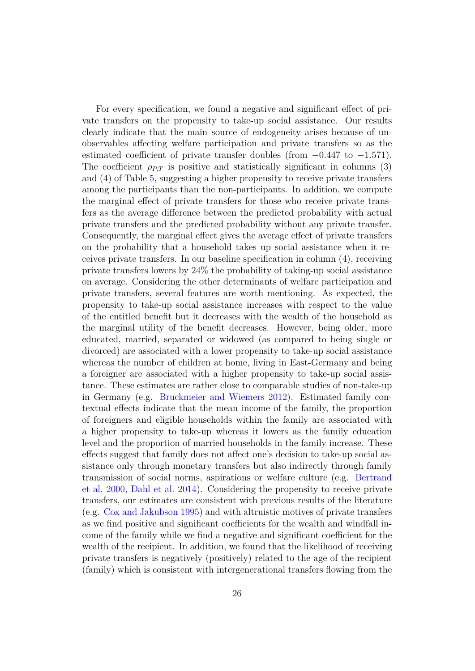For every specification, we found a negative and significant effect of private transfers on the propensity to take-up social assistance. Our results clearly indicate that the main source of endogeneity arises because of unobservables affecting welfare participation and private transfers so as the estimated coefficient of private transfer doubles (from −0*.*447 to −1*.*571). The coefficient  $\rho_{PT}$  is positive and statistically significant in columns (3) and (4) of Table [5,](#page-25-0) suggesting a higher propensity to receive private transfers among the participants than the non-participants. In addition, we compute the marginal effect of private transfers for those who receive private transfers as the average difference between the predicted probability with actual private transfers and the predicted probability without any private transfer. Consequently, the marginal effect gives the average effect of private transfers on the probability that a household takes up social assistance when it receives private transfers. In our baseline specification in column (4), receiving private transfers lowers by 24% the probability of taking-up social assistance on average. Considering the other determinants of welfare participation and private transfers, several features are worth mentioning. As expected, the propensity to take-up social assistance increases with respect to the value of the entitled benefit but it decreases with the wealth of the household as the marginal utility of the benefit decreases. However, being older, more educated, married, separated or widowed (as compared to being single or divorced) are associated with a lower propensity to take-up social assistance whereas the number of children at home, living in East-Germany and being a foreigner are associated with a higher propensity to take-up social assistance. These estimates are rather close to comparable studies of non-take-up in Germany (e.g. [Bruckmeier and Wiemers](#page-34-8) [2012\)](#page-34-8). Estimated family contextual effects indicate that the mean income of the family, the proportion of foreigners and eligible households within the family are associated with a higher propensity to take-up whereas it lowers as the family education level and the proportion of married households in the family increase. These effects suggest that family does not affect one's decision to take-up social assistance only through monetary transfers but also indirectly through family transmission of social norms, aspirations or welfare culture (e.g. [Bertrand](#page-34-6) [et al.](#page-34-6) [2000,](#page-34-6) [Dahl et al.](#page-35-4) [2014\)](#page-35-4). Considering the propensity to receive private transfers, our estimates are consistent with previous results of the literature (e.g. [Cox and Jakubson](#page-35-5) [1995\)](#page-35-5) and with altruistic motives of private transfers as we find positive and significant coefficients for the wealth and windfall income of the family while we find a negative and significant coefficient for the wealth of the recipient. In addition, we found that the likelihood of receiving private transfers is negatively (positively) related to the age of the recipient (family) which is consistent with intergenerational transfers flowing from the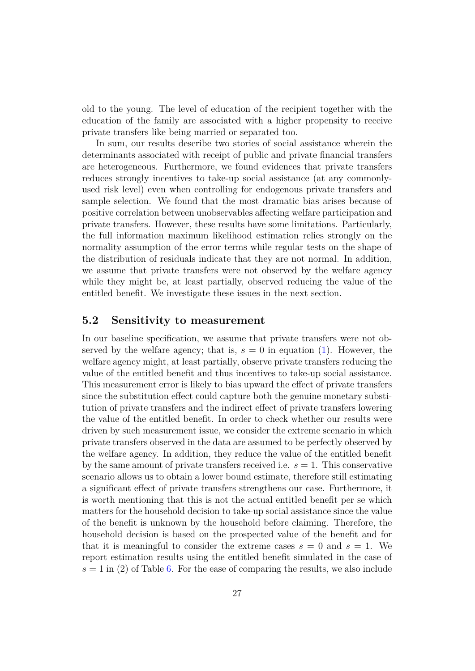old to the young. The level of education of the recipient together with the education of the family are associated with a higher propensity to receive private transfers like being married or separated too.

In sum, our results describe two stories of social assistance wherein the determinants associated with receipt of public and private financial transfers are heterogeneous. Furthermore, we found evidences that private transfers reduces strongly incentives to take-up social assistance (at any commonlyused risk level) even when controlling for endogenous private transfers and sample selection. We found that the most dramatic bias arises because of positive correlation between unobservables affecting welfare participation and private transfers. However, these results have some limitations. Particularly, the full information maximum likelihood estimation relies strongly on the normality assumption of the error terms while regular tests on the shape of the distribution of residuals indicate that they are not normal. In addition, we assume that private transfers were not observed by the welfare agency while they might be, at least partially, observed reducing the value of the entitled benefit. We investigate these issues in the next section.

#### **5.2 Sensitivity to measurement**

In our baseline specification, we assume that private transfers were not observed by the welfare agency; that is,  $s = 0$  in equation [\(1\)](#page-10-1). However, the welfare agency might, at least partially, observe private transfers reducing the value of the entitled benefit and thus incentives to take-up social assistance. This measurement error is likely to bias upward the effect of private transfers since the substitution effect could capture both the genuine monetary substitution of private transfers and the indirect effect of private transfers lowering the value of the entitled benefit. In order to check whether our results were driven by such measurement issue, we consider the extreme scenario in which private transfers observed in the data are assumed to be perfectly observed by the welfare agency. In addition, they reduce the value of the entitled benefit by the same amount of private transfers received i.e. *s* = 1. This conservative scenario allows us to obtain a lower bound estimate, therefore still estimating a significant effect of private transfers strengthens our case. Furthermore, it is worth mentioning that this is not the actual entitled benefit per se which matters for the household decision to take-up social assistance since the value of the benefit is unknown by the household before claiming. Therefore, the household decision is based on the prospected value of the benefit and for that it is meaningful to consider the extreme cases  $s = 0$  and  $s = 1$ . We report estimation results using the entitled benefit simulated in the case of  $s = 1$  in (2) of Table [6.](#page-28-0) For the ease of comparing the results, we also include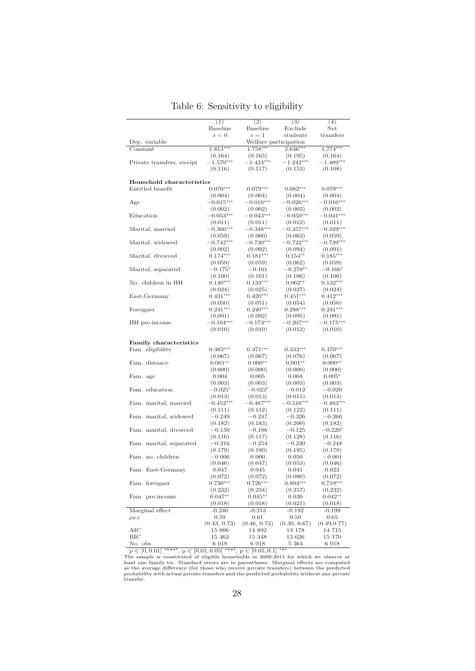|                            | (1)                    | (2)                    | (3)                    | (4)                    |
|----------------------------|------------------------|------------------------|------------------------|------------------------|
|                            | Baseline               | Baseline               | Exclude                | $\operatorname{Net}$   |
|                            | $s = 0$                | $s=1$                  | students               | transfers              |
| Dep. variable              |                        | $1.758***$             | Welfare participation  |                        |
| Constant                   | $1.813***$             |                        | $2.646***$             | $1.774***$             |
|                            | (0.164)                | (0.165)                | (0.195)                | (0.164)                |
| Private transfers, receipt | $-1.579***$            | $-1.424***$            | $-1.242***$            | $-1.489***$            |
|                            | (0.116)                | (0.117)                | (0.153)                | (0.108)                |
| Household characteristics  |                        |                        |                        |                        |
| Entitled benefit           | $0.070***$             | $0.079***$             | $0.082***$             | $0.079***$             |
|                            |                        |                        |                        |                        |
| Age                        | (0.004)<br>$-0.015***$ | (0.004)<br>$-0.016***$ | (0.004)<br>$-0.026***$ | (0.004)<br>$-0.016***$ |
|                            | (0.002)                | (0.002)                | (0.003)                | (0.002)                |
| Education                  | $-0.053***$            | $-0.043***$            | $-0.050***$            | $-0.041***$            |
|                            | (0.011)                | (0.011)                | (0.012)                | (0.011)                |
| Marital, married           | $-0.366***$            | $-0.348***$            | $-0.357***$            | $-0.349***$            |
|                            | (0.059)                | (0.060)                | (0.063)                | (0.059)                |
| Marital, widowed           | $-0.742***$            | $-0.730***$            | $-0.722***$            | $-0.739***$            |
|                            | (0.092)                | (0.092)                | (0.094)                | (0.091)                |
| Marital, divorced          | $0.174***$             | $0.181***$             | $0.154**$              | $0.185***$             |
|                            | (0.059)                | (0.059)                | (0.062)                | (0.059)                |
| Marital, separated         | $-0.175*$              | $-0.161$               | $-0.270**$             | $-0.166^*$             |
|                            | (0.100)                | (0.101)                | (0.106)                | (0.100)                |
| No. children in HH         | $0.140***$             | $0.133***$             | $0.062**$              | $0.132***$             |
|                            | (0.024)                | (0.025)                | (0.027)                | (0.024)                |
| East-Germany               | $0.431***$             | $0.420***$             | $0.451***$             | $0.412***$             |
|                            | (0.050)                | (0.051)                | (0.054)                | (0.050)                |
| Foreigner                  | $0.241***$             | $0.240***$             | $0.288***$             | $0.241***$             |
|                            | (0.091)                | (0.092)                | (0.095)                | (0.091)                |
| HH pre-income              | $-0.164***$            | $-0.173***$            | $-0.207***$            | $-0.175***$            |
|                            | (0.010)                | (0.010)                | (0.012)                | (0.010)                |
|                            |                        |                        |                        |                        |
| Family characteristics     |                        |                        |                        |                        |
| Fam. eligibility           | $0.383***$             | $0.371***$             | $0.333***$             | $0.370***$             |
|                            | (0.067)                | (0.067)                | (0.076)                | (0.067)                |
| Fam. distance              | $0.001**$              | $0.000**$              | $0.001**$              | $0.000**$              |
|                            | (0.000)                | (0.000)                | (0.000)                | (0.000)                |
| Fam. age                   | 0.004                  | 0.005                  | 0.004                  | $0.005*$               |
|                            | (0.003)                | (0.003)                | (0.003)                | (0.003)                |
| Fam. education             | $-0.025*$              | $-0.023*$              | $-0.012$               | $-0.020$               |
|                            | (0.013)                | (0.013)                | (0.015)                | (0.013)                |
| Fam. marital, married      | $-0.452***$            | $-0.487***$            | $-0.516***$            | $-0.483***$            |
|                            | (0.111)                | (0.112)                | (0.122)                | (0.111)                |
| Fam. marital, widowed      | $-0.249$               | $-0.247$               | $-0.326$               | $-0.266$               |
|                            | (0.182)                | (0.183)                | (0.200)                | (0.182)                |
| Fam. marital, divorced     | $-0.150$               | $-0.186$               | $-0.125$               | $-0.220*$              |
|                            | (0.116)                | (0.117)                | (0.128)                | (0.116)                |
| Fam. marital, separated    | $-0.216$               | $-0.254$               | $-0.230$               | $-0.248$               |
|                            | (0.179)                | (0.180)                | (0.195)                | (0.178)                |
| Fam. no. children          | $-0.006$               | 0.000                  | 0.050                  | $-0.001$               |
|                            | (0.046)                | (0.047)                | (0.053)                | (0.046)                |
| Fam. East-Germany          | 0.047                  | 0.045                  | 0.041                  | 0.023                  |
|                            | (0.072)                | (0.072)                | (0.080)                | (0.072)                |
| Fam. foreigner             | $0.730***$             | $0.726***$             | $0.804***$             | $0.719***$             |
|                            | (0.232)                | (0.234)                | (0.257)                | (0.232)                |
| Fam. pre-income            | $0.047**$              | $0.045**$              | 0.030                  | $0.042**$              |
|                            | (0.018)                | (0.018)                | (0.021)                | (0.018)                |
| Marginal effect            | $-0.240$               | $-0.213$               | $-0.192$               | $-0.199$               |
| $\rho_{P,T}$               | 0.59                   | 0.61                   | 0.50                   | $_{0.65}$              |
|                            | (0.43, 0.73)           | (0.46, 0.73)<br>14 892 | (0.30, 0.67)           | (0.49, 0.77)           |
| AІC<br>BІC                 | 15 006<br>15 462       | 15 348                 | 13 178<br>13 626       | 14 715<br>15 170       |
| No. obs.                   | 6 018                  | 6 018                  | 5 364                  | 6 018                  |
|                            |                        |                        |                        |                        |

### <span id="page-28-0"></span>Table 6: Sensitivity to eligibility

 $\overline{p \in [0,0.01]}$ The Subsection of eligible households in 2009-2011 for which we observe a<br>
The sample is constituted of eligible households in 2009-2011 for which we observe at<br>
least one family tie. Standard errors are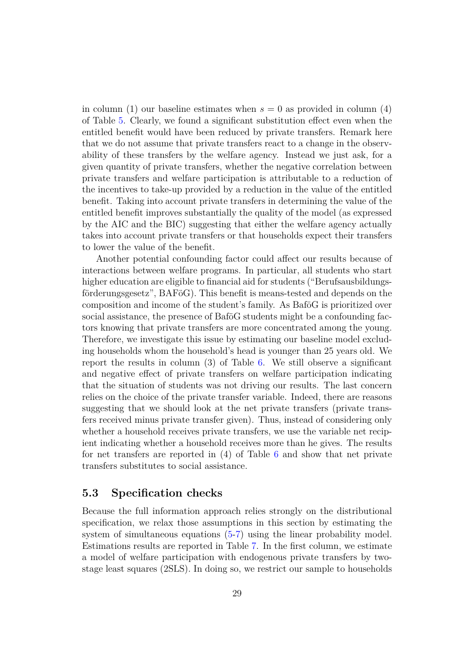in column (1) our baseline estimates when  $s = 0$  as provided in column (4) of Table [5.](#page-25-0) Clearly, we found a significant substitution effect even when the entitled benefit would have been reduced by private transfers. Remark here that we do not assume that private transfers react to a change in the observability of these transfers by the welfare agency. Instead we just ask, for a given quantity of private transfers, whether the negative correlation between private transfers and welfare participation is attributable to a reduction of the incentives to take-up provided by a reduction in the value of the entitled benefit. Taking into account private transfers in determining the value of the entitled benefit improves substantially the quality of the model (as expressed by the AIC and the BIC) suggesting that either the welfare agency actually takes into account private transfers or that households expect their transfers to lower the value of the benefit.

Another potential confounding factor could affect our results because of interactions between welfare programs. In particular, all students who start higher education are eligible to financial aid for students ("Berufsausbildungsförderungsgesetz", BAFöG). This benefit is means-tested and depends on the composition and income of the student's family. As BaföG is prioritized over social assistance, the presence of BaföG students might be a confounding factors knowing that private transfers are more concentrated among the young. Therefore, we investigate this issue by estimating our baseline model excluding households whom the household's head is younger than 25 years old. We report the results in column (3) of Table [6.](#page-28-0) We still observe a significant and negative effect of private transfers on welfare participation indicating that the situation of students was not driving our results. The last concern relies on the choice of the private transfer variable. Indeed, there are reasons suggesting that we should look at the net private transfers (private transfers received minus private transfer given). Thus, instead of considering only whether a household receives private transfers, we use the variable net recipient indicating whether a household receives more than he gives. The results for net transfers are reported in (4) of Table [6](#page-28-0) and show that net private transfers substitutes to social assistance.

### **5.3 Specification checks**

Because the full information approach relies strongly on the distributional specification, we relax those assumptions in this section by estimating the system of simultaneous equations [\(5-7\)](#page-21-0) using the linear probability model. Estimations results are reported in Table [7.](#page-43-0) In the first column, we estimate a model of welfare participation with endogenous private transfers by twostage least squares (2SLS). In doing so, we restrict our sample to households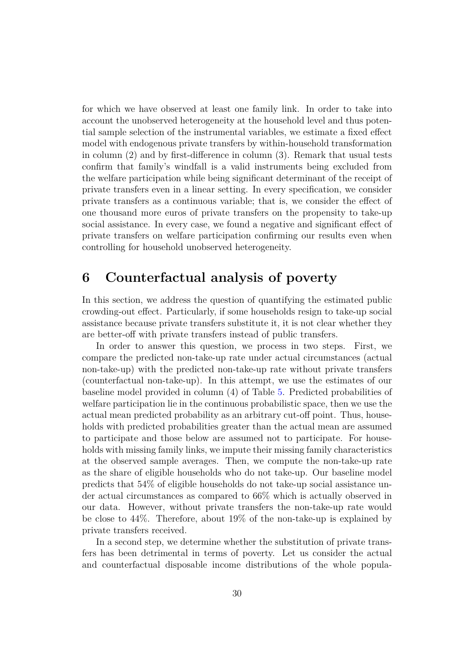for which we have observed at least one family link. In order to take into account the unobserved heterogeneity at the household level and thus potential sample selection of the instrumental variables, we estimate a fixed effect model with endogenous private transfers by within-household transformation in column (2) and by first-difference in column (3). Remark that usual tests confirm that family's windfall is a valid instruments being excluded from the welfare participation while being significant determinant of the receipt of private transfers even in a linear setting. In every specification, we consider private transfers as a continuous variable; that is, we consider the effect of one thousand more euros of private transfers on the propensity to take-up social assistance. In every case, we found a negative and significant effect of private transfers on welfare participation confirming our results even when controlling for household unobserved heterogeneity.

### **6 Counterfactual analysis of poverty**

In this section, we address the question of quantifying the estimated public crowding-out effect. Particularly, if some households resign to take-up social assistance because private transfers substitute it, it is not clear whether they are better-off with private transfers instead of public transfers.

In order to answer this question, we process in two steps. First, we compare the predicted non-take-up rate under actual circumstances (actual non-take-up) with the predicted non-take-up rate without private transfers (counterfactual non-take-up). In this attempt, we use the estimates of our baseline model provided in column (4) of Table [5.](#page-25-0) Predicted probabilities of welfare participation lie in the continuous probabilistic space, then we use the actual mean predicted probability as an arbitrary cut-off point. Thus, households with predicted probabilities greater than the actual mean are assumed to participate and those below are assumed not to participate. For households with missing family links, we impute their missing family characteristics at the observed sample averages. Then, we compute the non-take-up rate as the share of eligible households who do not take-up. Our baseline model predicts that 54% of eligible households do not take-up social assistance under actual circumstances as compared to 66% which is actually observed in our data. However, without private transfers the non-take-up rate would be close to 44%. Therefore, about 19% of the non-take-up is explained by private transfers received.

In a second step, we determine whether the substitution of private transfers has been detrimental in terms of poverty. Let us consider the actual and counterfactual disposable income distributions of the whole popula-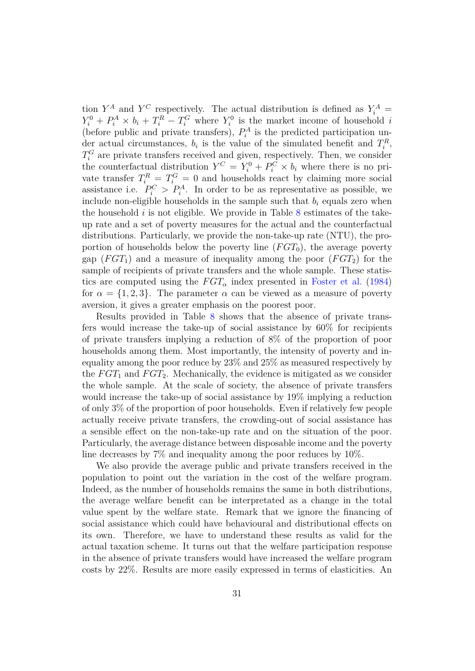tion  $Y^A$  and  $Y^C$  respectively. The actual distribution is defined as  $Y_i^A$  =  $Y_i^0 + P_i^A \times b_i + T_i^R - T_i^G$  where  $Y_i^0$  is the market income of household *i* (before public and private transfers),  $P_i^A$  is the predicted participation under actual circumstances,  $b_i$  is the value of the simulated benefit and  $T_i^R$ ,  $T_i^G$  are private transfers received and given, respectively. Then, we consider the counterfactual distribution  $Y^C = Y_i^0 + P_i^C \times b_i$  where there is no private transfer  $T_i^R = T_i^G = 0$  and households react by claiming more social assistance i.e.  $P_i^C > P_i^A$ . In order to be as representative as possible, we include non-eligible households in the sample such that  $b_i$  equals zero when the household  $i$  is not eligible. We provide in Table  $8$  estimates of the takeup rate and a set of poverty measures for the actual and the counterfactual distributions. Particularly, we provide the non-take-up rate (NTU), the proportion of households below the poverty line  $(FGT_0)$ , the average poverty gap  $(FGT_1)$  and a measure of inequality among the poor  $(FGT_2)$  for the sample of recipients of private transfers and the whole sample. These statistics are computed using the  $FGT_\alpha$  index presented in [Foster et al.](#page-35-13) [\(1984\)](#page-35-13) for  $\alpha = \{1, 2, 3\}$ . The parameter  $\alpha$  can be viewed as a measure of poverty aversion, it gives a greater emphasis on the poorest poor.

Results provided in Table [8](#page-44-1) shows that the absence of private transfers would increase the take-up of social assistance by 60% for recipients of private transfers implying a reduction of 8% of the proportion of poor households among them. Most importantly, the intensity of poverty and inequality among the poor reduce by 23% and 25% as measured respectively by the  $FGT_1$  and  $FGT_2$ . Mechanically, the evidence is mitigated as we consider the whole sample. At the scale of society, the absence of private transfers would increase the take-up of social assistance by 19% implying a reduction of only 3% of the proportion of poor households. Even if relatively few people actually receive private transfers, the crowding-out of social assistance has a sensible effect on the non-take-up rate and on the situation of the poor. Particularly, the average distance between disposable income and the poverty line decreases by 7% and inequality among the poor reduces by 10%.

We also provide the average public and private transfers received in the population to point out the variation in the cost of the welfare program. Indeed, as the number of households remains the same in both distributions, the average welfare benefit can be interpretated as a change in the total value spent by the welfare state. Remark that we ignore the financing of social assistance which could have behavioural and distributional effects on its own. Therefore, we have to understand these results as valid for the actual taxation scheme. It turns out that the welfare participation response in the absence of private transfers would have increased the welfare program costs by 22%. Results are more easily expressed in terms of elasticities. An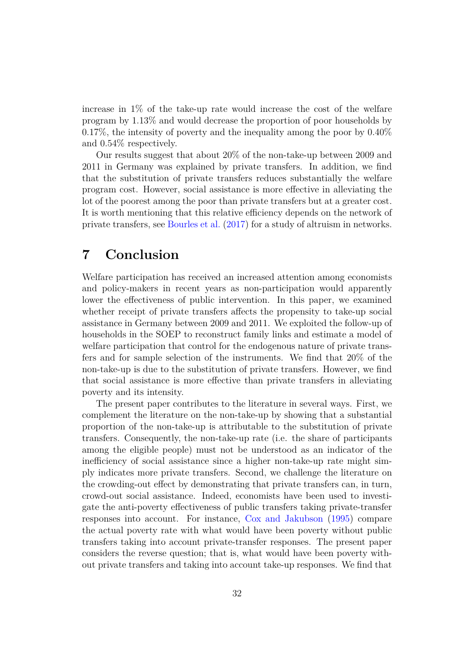increase in 1% of the take-up rate would increase the cost of the welfare program by 1.13% and would decrease the proportion of poor households by 0.17%, the intensity of poverty and the inequality among the poor by 0.40% and 0.54% respectively.

Our results suggest that about 20% of the non-take-up between 2009 and 2011 in Germany was explained by private transfers. In addition, we find that the substitution of private transfers reduces substantially the welfare program cost. However, social assistance is more effective in alleviating the lot of the poorest among the poor than private transfers but at a greater cost. It is worth mentioning that this relative efficiency depends on the network of private transfers, see [Bourles et al.](#page-34-5) [\(2017\)](#page-34-5) for a study of altruism in networks.

### **7 Conclusion**

Welfare participation has received an increased attention among economists and policy-makers in recent years as non-participation would apparently lower the effectiveness of public intervention. In this paper, we examined whether receipt of private transfers affects the propensity to take-up social assistance in Germany between 2009 and 2011. We exploited the follow-up of households in the SOEP to reconstruct family links and estimate a model of welfare participation that control for the endogenous nature of private transfers and for sample selection of the instruments. We find that 20% of the non-take-up is due to the substitution of private transfers. However, we find that social assistance is more effective than private transfers in alleviating poverty and its intensity.

The present paper contributes to the literature in several ways. First, we complement the literature on the non-take-up by showing that a substantial proportion of the non-take-up is attributable to the substitution of private transfers. Consequently, the non-take-up rate (i.e. the share of participants among the eligible people) must not be understood as an indicator of the inefficiency of social assistance since a higher non-take-up rate might simply indicates more private transfers. Second, we challenge the literature on the crowding-out effect by demonstrating that private transfers can, in turn, crowd-out social assistance. Indeed, economists have been used to investigate the anti-poverty effectiveness of public transfers taking private-transfer responses into account. For instance, [Cox and Jakubson](#page-35-5) [\(1995\)](#page-35-5) compare the actual poverty rate with what would have been poverty without public transfers taking into account private-transfer responses. The present paper considers the reverse question; that is, what would have been poverty without private transfers and taking into account take-up responses. We find that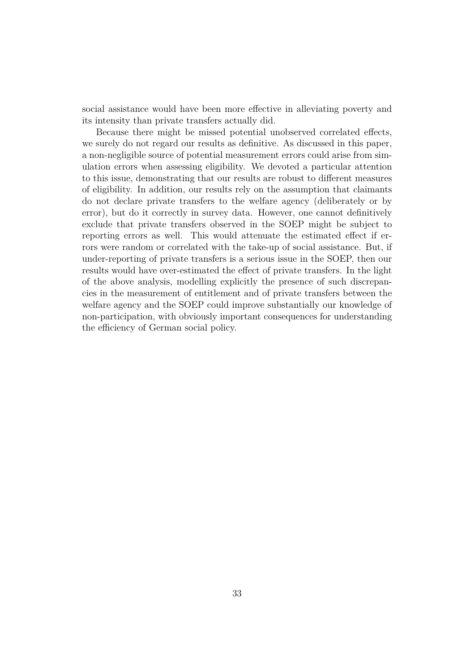social assistance would have been more effective in alleviating poverty and its intensity than private transfers actually did.

Because there might be missed potential unobserved correlated effects, we surely do not regard our results as definitive. As discussed in this paper, a non-negligible source of potential measurement errors could arise from simulation errors when assessing eligibility. We devoted a particular attention to this issue, demonstrating that our results are robust to different measures of eligibility. In addition, our results rely on the assumption that claimants do not declare private transfers to the welfare agency (deliberately or by error), but do it correctly in survey data. However, one cannot definitively exclude that private transfers observed in the SOEP might be subject to reporting errors as well. This would attenuate the estimated effect if errors were random or correlated with the take-up of social assistance. But, if under-reporting of private transfers is a serious issue in the SOEP, then our results would have over-estimated the effect of private transfers. In the light of the above analysis, modelling explicitly the presence of such discrepancies in the measurement of entitlement and of private transfers between the welfare agency and the SOEP could improve substantially our knowledge of non-participation, with obviously important consequences for understanding the efficiency of German social policy.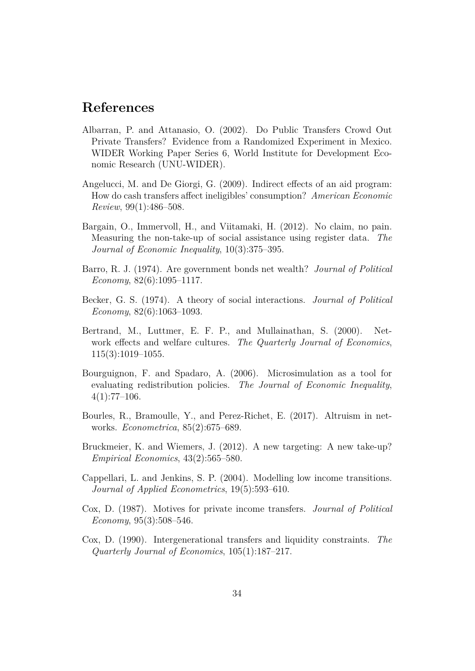### **References**

- <span id="page-34-1"></span>Albarran, P. and Attanasio, O. (2002). Do Public Transfers Crowd Out Private Transfers? Evidence from a Randomized Experiment in Mexico. WIDER Working Paper Series 6, World Institute for Development Economic Research (UNU-WIDER).
- <span id="page-34-2"></span>Angelucci, M. and De Giorgi, G. (2009). Indirect effects of an aid program: How do cash transfers affect ineligibles' consumption? *American Economic Review*, 99(1):486–508.
- <span id="page-34-0"></span>Bargain, O., Immervoll, H., and Viitamaki, H. (2012). No claim, no pain. Measuring the non-take-up of social assistance using register data. *The Journal of Economic Inequality*, 10(3):375–395.
- <span id="page-34-4"></span>Barro, R. J. (1974). Are government bonds net wealth? *Journal of Political Economy*, 82(6):1095–1117.
- <span id="page-34-3"></span>Becker, G. S. (1974). A theory of social interactions. *Journal of Political Economy*, 82(6):1063–1093.
- <span id="page-34-6"></span>Bertrand, M., Luttmer, E. F. P., and Mullainathan, S. (2000). Network effects and welfare cultures. *The Quarterly Journal of Economics*, 115(3):1019–1055.
- <span id="page-34-7"></span>Bourguignon, F. and Spadaro, A. (2006). Microsimulation as a tool for evaluating redistribution policies. *The Journal of Economic Inequality*,  $4(1):77-106.$
- <span id="page-34-5"></span>Bourles, R., Bramoulle, Y., and Perez-Richet, E. (2017). Altruism in networks. *Econometrica*, 85(2):675–689.
- <span id="page-34-8"></span>Bruckmeier, K. and Wiemers, J. (2012). A new targeting: A new take-up? *Empirical Economics*, 43(2):565–580.
- <span id="page-34-10"></span>Cappellari, L. and Jenkins, S. P. (2004). Modelling low income transitions. *Journal of Applied Econometrics*, 19(5):593–610.
- <span id="page-34-9"></span>Cox, D. (1987). Motives for private income transfers. *Journal of Political Economy*, 95(3):508–546.
- <span id="page-34-11"></span>Cox, D. (1990). Intergenerational transfers and liquidity constraints. *The Quarterly Journal of Economics*, 105(1):187–217.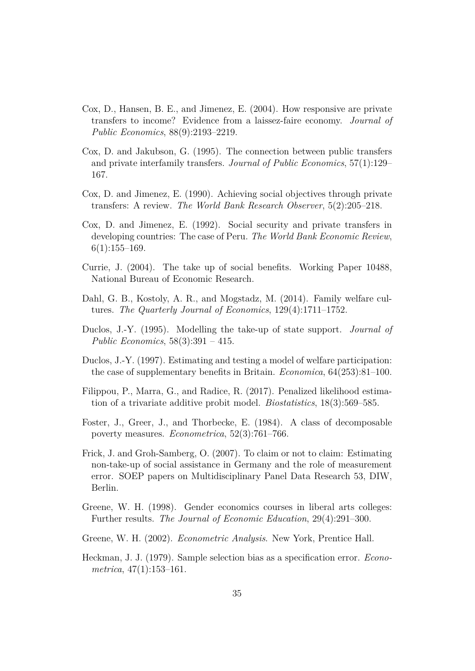- <span id="page-35-3"></span>Cox, D., Hansen, B. E., and Jimenez, E. (2004). How responsive are private transfers to income? Evidence from a laissez-faire economy. *Journal of Public Economics*, 88(9):2193–2219.
- <span id="page-35-5"></span>Cox, D. and Jakubson, G. (1995). The connection between public transfers and private interfamily transfers. *Journal of Public Economics*, 57(1):129– 167.
- <span id="page-35-8"></span>Cox, D. and Jimenez, E. (1990). Achieving social objectives through private transfers: A review. *The World Bank Research Observer*, 5(2):205–218.
- <span id="page-35-9"></span>Cox, D. and Jimenez, E. (1992). Social security and private transfers in developing countries: The case of Peru. *The World Bank Economic Review*,  $6(1):155-169.$
- <span id="page-35-0"></span>Currie, J. (2004). The take up of social benefits. Working Paper 10488, National Bureau of Economic Research.
- <span id="page-35-4"></span>Dahl, G. B., Kostoly, A. R., and Mogstadz, M. (2014). Family welfare cultures. *The Quarterly Journal of Economics*, 129(4):1711–1752.
- <span id="page-35-1"></span>Duclos, J.-Y. (1995). Modelling the take-up of state support. *Journal of Public Economics*, 58(3):391 – 415.
- <span id="page-35-2"></span>Duclos, J.-Y. (1997). Estimating and testing a model of welfare participation: the case of supplementary benefits in Britain. *Economica*, 64(253):81–100.
- <span id="page-35-11"></span>Filippou, P., Marra, G., and Radice, R. (2017). Penalized likelihood estimation of a trivariate additive probit model. *Biostatistics*, 18(3):569–585.
- <span id="page-35-13"></span>Foster, J., Greer, J., and Thorbecke, E. (1984). A class of decomposable poverty measures. *Econometrica*, 52(3):761–766.
- <span id="page-35-7"></span>Frick, J. and Groh-Samberg, O. (2007). To claim or not to claim: Estimating non-take-up of social assistance in Germany and the role of measurement error. SOEP papers on Multidisciplinary Panel Data Research 53, DIW, Berlin.
- <span id="page-35-12"></span>Greene, W. H. (1998). Gender economics courses in liberal arts colleges: Further results. *The Journal of Economic Education*, 29(4):291–300.
- <span id="page-35-10"></span>Greene, W. H. (2002). *Econometric Analysis*. New York, Prentice Hall.
- <span id="page-35-6"></span>Heckman, J. J. (1979). Sample selection bias as a specification error. *Econometrica*, 47(1):153–161.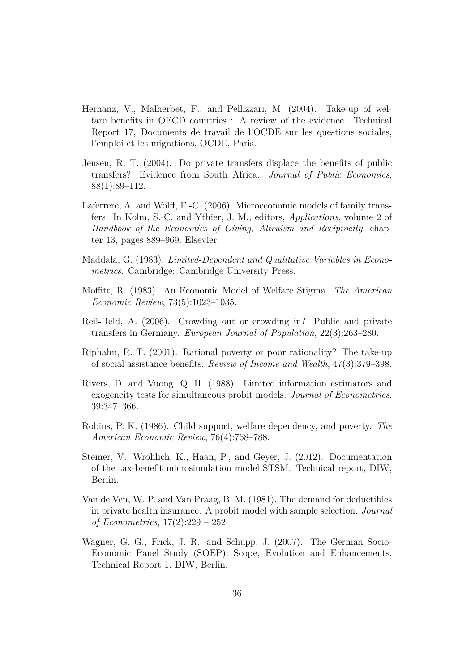- <span id="page-36-1"></span>Hernanz, V., Malherbet, F., and Pellizzari, M. (2004). Take-up of welfare benefits in OECD countries : A review of the evidence. Technical Report 17, Documents de travail de l'OCDE sur les questions sociales, l'emploi et les migrations, OCDE, Paris.
- <span id="page-36-6"></span>Jensen, R. T. (2004). Do private transfers displace the benefits of public transfers? Evidence from South Africa. *Journal of Public Economics*, 88(1):89–112.
- <span id="page-36-3"></span>Laferrere, A. and Wolff, F.-C. (2006). Microeconomic models of family transfers. In Kolm, S.-C. and Ythier, J. M., editors, *Applications*, volume 2 of *Handbook of the Economics of Giving, Altruism and Reciprocity*, chapter 13, pages 889–969. Elsevier.
- <span id="page-36-9"></span>Maddala, G. (1983). *Limited-Dependent and Qualitative Variables in Econometrics*. Cambridge: Cambridge University Press.
- <span id="page-36-0"></span>Moffitt, R. (1983). An Economic Model of Welfare Stigma. *The American Economic Review*, 73(5):1023–1035.
- <span id="page-36-4"></span>Reil-Held, A. (2006). Crowding out or crowding in? Public and private transfers in Germany. *European Journal of Population*, 22(3):263–280.
- <span id="page-36-2"></span>Riphahn, R. T. (2001). Rational poverty or poor rationality? The take-up of social assistance benefits. *Review of Income and Wealth*, 47(3):379–398.
- <span id="page-36-11"></span>Rivers, D. and Vuong, Q. H. (1988). Limited information estimators and exogeneity tests for simultaneous probit models. *Journal of Econometrics*, 39:347–366.
- <span id="page-36-5"></span>Robins, P. K. (1986). Child support, welfare dependency, and poverty. *The American Economic Review*, 76(4):768–788.
- <span id="page-36-8"></span>Steiner, V., Wrohlich, K., Haan, P., and Geyer, J. (2012). Documentation of the tax-benefit microsimulation model STSM. Technical report, DIW, Berlin.
- <span id="page-36-10"></span>Van de Ven, W. P. and Van Praag, B. M. (1981). The demand for deductibles in private health insurance: A probit model with sample selection. *Journal of Econometrics*, 17(2):229 – 252.
- <span id="page-36-7"></span>Wagner, G. G., Frick, J. R., and Schupp, J. (2007). The German Socio-Economic Panel Study (SOEP): Scope, Evolution and Enhancements. Technical Report 1, DIW, Berlin.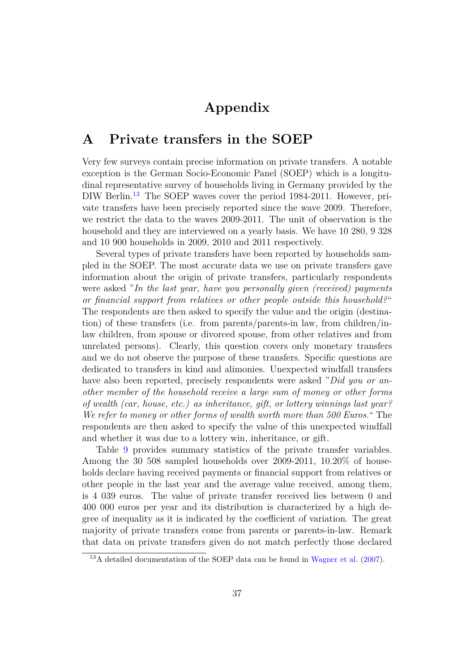### **Appendix**

### <span id="page-37-0"></span>**A Private transfers in the SOEP**

Very few surveys contain precise information on private transfers. A notable exception is the German Socio-Economic Panel (SOEP) which is a longitudinal representative survey of households living in Germany provided by the DIW Berlin.<sup>[13](#page-37-1)</sup> The SOEP waves cover the period 1984-2011. However, private transfers have been precisely reported since the wave 2009. Therefore, we restrict the data to the waves 2009-2011. The unit of observation is the household and they are interviewed on a yearly basis. We have 10 280, 9 328 and 10 900 households in 2009, 2010 and 2011 respectively.

Several types of private transfers have been reported by households sampled in the SOEP. The most accurate data we use on private transfers gave information about the origin of private transfers, particularly respondents were asked "*In the last year, have you personally given (received) payments or financial support from relatives or other people outside this household?*" The respondents are then asked to specify the value and the origin (destination) of these transfers (i.e. from parents/parents-in law, from children/inlaw children, from spouse or divorced spouse, from other relatives and from unrelated persons). Clearly, this question covers only monetary transfers and we do not observe the purpose of these transfers. Specific questions are dedicated to transfers in kind and alimonies. Unexpected windfall transfers have also been reported, precisely respondents were asked "*Did you or another member of the household receive a large sum of money or other forms of wealth (car, house, etc.) as inheritance, gift, or lottery winnings last year? We refer to money or other forms of wealth worth more than 500 Euros.*" The respondents are then asked to specify the value of this unexpected windfall and whether it was due to a lottery win, inheritance, or gift.

Table [9](#page-44-0) provides summary statistics of the private transfer variables. Among the 30 508 sampled households over 2009-2011, 10.20% of households declare having received payments or financial support from relatives or other people in the last year and the average value received, among them, is 4 039 euros. The value of private transfer received lies between 0 and 400 000 euros per year and its distribution is characterized by a high degree of inequality as it is indicated by the coefficient of variation. The great majority of private transfers come from parents or parents-in-law. Remark that data on private transfers given do not match perfectly those declared

<span id="page-37-1"></span><sup>13</sup>A detailed documentation of the SOEP data can be found in [Wagner et al.](#page-36-7) [\(2007\)](#page-36-7).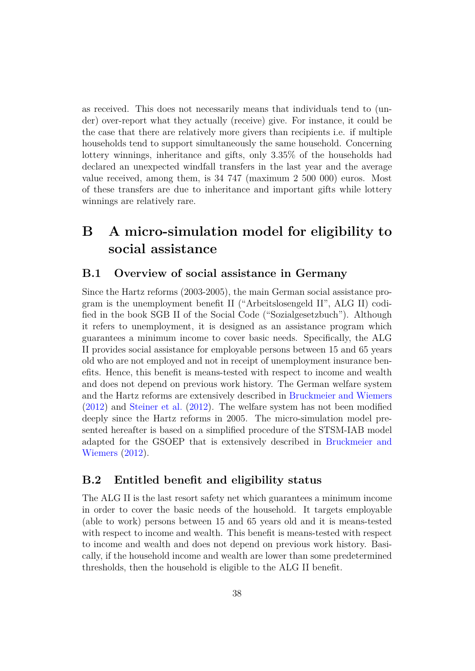as received. This does not necessarily means that individuals tend to (under) over-report what they actually (receive) give. For instance, it could be the case that there are relatively more givers than recipients i.e. if multiple households tend to support simultaneously the same household. Concerning lottery winnings, inheritance and gifts, only 3.35% of the households had declared an unexpected windfall transfers in the last year and the average value received, among them, is 34 747 (maximum 2 500 000) euros. Most of these transfers are due to inheritance and important gifts while lottery winnings are relatively rare.

## <span id="page-38-0"></span>**B A micro-simulation model for eligibility to social assistance**

#### **B.1 Overview of social assistance in Germany**

Since the Hartz reforms (2003-2005), the main German social assistance program is the unemployment benefit II ("Arbeitslosengeld II", ALG II) codified in the book SGB II of the Social Code ("Sozialgesetzbuch"). Although it refers to unemployment, it is designed as an assistance program which guarantees a minimum income to cover basic needs. Specifically, the ALG II provides social assistance for employable persons between 15 and 65 years old who are not employed and not in receipt of unemployment insurance benefits. Hence, this benefit is means-tested with respect to income and wealth and does not depend on previous work history. The German welfare system and the Hartz reforms are extensively described in [Bruckmeier and Wiemers](#page-34-8) [\(2012\)](#page-34-8) and [Steiner et al.](#page-36-8) [\(2012\)](#page-36-8). The welfare system has not been modified deeply since the Hartz reforms in 2005. The micro-simulation model presented hereafter is based on a simplified procedure of the STSM-IAB model adapted for the GSOEP that is extensively described in [Bruckmeier and](#page-34-8) [Wiemers](#page-34-8) [\(2012\)](#page-34-8).

#### **B.2 Entitled benefit and eligibility status**

The ALG II is the last resort safety net which guarantees a minimum income in order to cover the basic needs of the household. It targets employable (able to work) persons between 15 and 65 years old and it is means-tested with respect to income and wealth. This benefit is means-tested with respect to income and wealth and does not depend on previous work history. Basically, if the household income and wealth are lower than some predetermined thresholds, then the household is eligible to the ALG II benefit.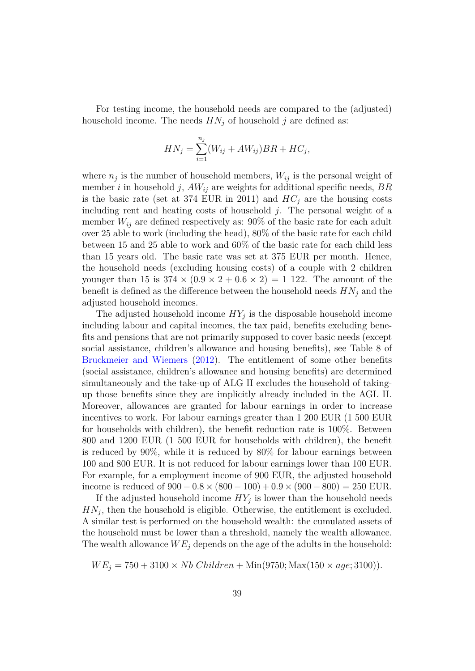For testing income, the household needs are compared to the (adjusted) household income. The needs  $HN<sub>j</sub>$  of household *j* are defined as:

$$
HN_j = \sum_{i=1}^{n_j} (W_{ij} + AW_{ij}) BR + HC_j,
$$

where  $n_j$  is the number of household members,  $W_{ij}$  is the personal weight of member *i* in household *j*,  $AW_{ij}$  are weights for additional specific needs,  $BR$ is the basic rate (set at 374 EUR in 2011) and  $HC<sub>j</sub>$  are the housing costs including rent and heating costs of household *j*. The personal weight of a member  $W_{ij}$  are defined respectively as: 90% of the basic rate for each adult over 25 able to work (including the head), 80% of the basic rate for each child between 15 and 25 able to work and 60% of the basic rate for each child less than 15 years old. The basic rate was set at 375 EUR per month. Hence, the household needs (excluding housing costs) of a couple with 2 children younger than 15 is  $374 \times (0.9 \times 2 + 0.6 \times 2) = 1$  122. The amount of the benefit is defined as the difference between the household needs  $HN<sub>i</sub>$  and the adjusted household incomes.

The adjusted household income  $HY_j$  is the disposable household income including labour and capital incomes, the tax paid, benefits excluding benefits and pensions that are not primarily supposed to cover basic needs (except social assistance, children's allowance and housing benefits), see Table 8 of [Bruckmeier and Wiemers](#page-34-8) [\(2012\)](#page-34-8). The entitlement of some other benefits (social assistance, children's allowance and housing benefits) are determined simultaneously and the take-up of ALG II excludes the household of takingup those benefits since they are implicitly already included in the AGL II. Moreover, allowances are granted for labour earnings in order to increase incentives to work. For labour earnings greater than 1 200 EUR (1 500 EUR for households with children), the benefit reduction rate is 100%. Between 800 and 1200 EUR (1 500 EUR for households with children), the benefit is reduced by 90%, while it is reduced by 80% for labour earnings between 100 and 800 EUR. It is not reduced for labour earnings lower than 100 EUR. For example, for a employment income of 900 EUR, the adjusted household income is reduced of  $900 - 0.8 \times (800 - 100) + 0.9 \times (900 - 800) = 250$  EUR.

If the adjusted household income  $HY_j$  is lower than the household needs  $HN<sub>j</sub>$ , then the household is eligible. Otherwise, the entitlement is excluded. A similar test is performed on the household wealth: the cumulated assets of the household must be lower than a threshold, namely the wealth allowance. The wealth allowance  $WE_i$  depends on the age of the adults in the household:

$$
WE_j = 750 + 3100 \times Nb \ Children + Min(9750; Max(150 \times age; 3100)).
$$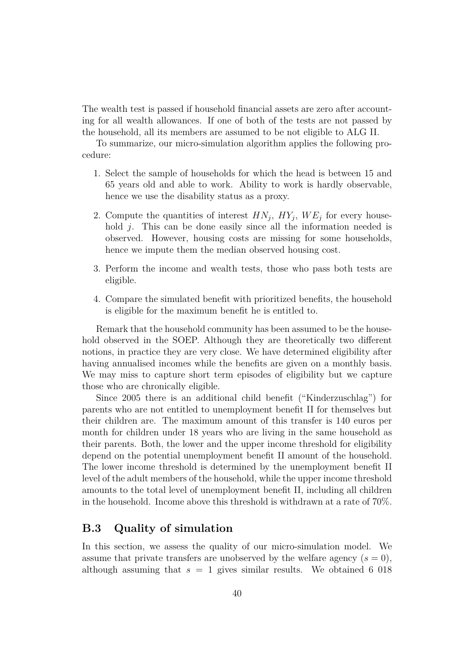The wealth test is passed if household financial assets are zero after accounting for all wealth allowances. If one of both of the tests are not passed by the household, all its members are assumed to be not eligible to ALG II.

To summarize, our micro-simulation algorithm applies the following procedure:

- 1. Select the sample of households for which the head is between 15 and 65 years old and able to work. Ability to work is hardly observable, hence we use the disability status as a proxy.
- 2. Compute the quantities of interest  $HN_j$ ,  $HY_j$ ,  $WE_j$  for every household *j*. This can be done easily since all the information needed is observed. However, housing costs are missing for some households, hence we impute them the median observed housing cost.
- 3. Perform the income and wealth tests, those who pass both tests are eligible.
- 4. Compare the simulated benefit with prioritized benefits, the household is eligible for the maximum benefit he is entitled to.

Remark that the household community has been assumed to be the household observed in the SOEP. Although they are theoretically two different notions, in practice they are very close. We have determined eligibility after having annualised incomes while the benefits are given on a monthly basis. We may miss to capture short term episodes of eligibility but we capture those who are chronically eligible.

Since 2005 there is an additional child benefit ("Kinderzuschlag") for parents who are not entitled to unemployment benefit II for themselves but their children are. The maximum amount of this transfer is 140 euros per month for children under 18 years who are living in the same household as their parents. Both, the lower and the upper income threshold for eligibility depend on the potential unemployment benefit II amount of the household. The lower income threshold is determined by the unemployment benefit II level of the adult members of the household, while the upper income threshold amounts to the total level of unemployment benefit II, including all children in the household. Income above this threshold is withdrawn at a rate of 70%.

### **B.3 Quality of simulation**

In this section, we assess the quality of our micro-simulation model. We assume that private transfers are unobserved by the welfare agency  $(s = 0)$ , although assuming that  $s = 1$  gives similar results. We obtained 6 018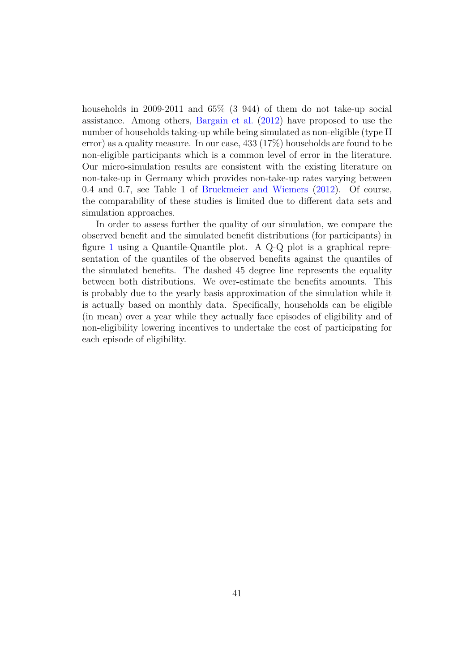households in 2009-2011 and 65% (3 944) of them do not take-up social assistance. Among others, [Bargain et al.](#page-34-0) [\(2012\)](#page-34-0) have proposed to use the number of households taking-up while being simulated as non-eligible (type II error) as a quality measure. In our case, 433 (17%) households are found to be non-eligible participants which is a common level of error in the literature. Our micro-simulation results are consistent with the existing literature on non-take-up in Germany which provides non-take-up rates varying between 0*.*4 and 0*.*7, see Table 1 of [Bruckmeier and Wiemers](#page-34-8) [\(2012\)](#page-34-8). Of course, the comparability of these studies is limited due to different data sets and simulation approaches.

In order to assess further the quality of our simulation, we compare the observed benefit and the simulated benefit distributions (for participants) in figure [1](#page-42-0) using a Quantile-Quantile plot. A Q-Q plot is a graphical representation of the quantiles of the observed benefits against the quantiles of the simulated benefits. The dashed 45 degree line represents the equality between both distributions. We over-estimate the benefits amounts. This is probably due to the yearly basis approximation of the simulation while it is actually based on monthly data. Specifically, households can be eligible (in mean) over a year while they actually face episodes of eligibility and of non-eligibility lowering incentives to undertake the cost of participating for each episode of eligibility.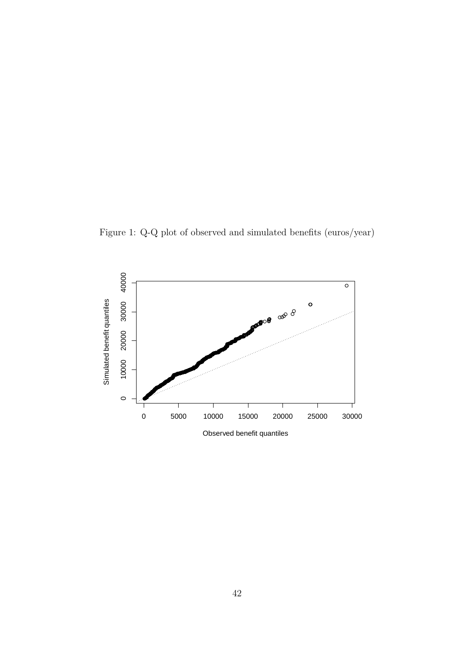<span id="page-42-0"></span>Figure 1: Q-Q plot of observed and simulated benefits (euros/year)



Observed benefit quantiles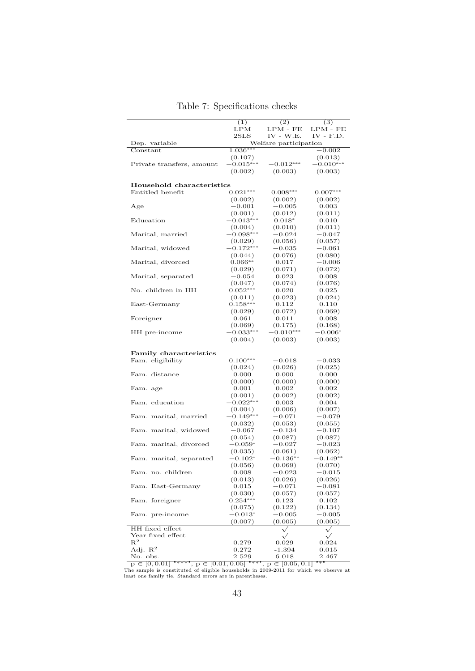|                                     | (1)                               | (2)                            | (3)                 |
|-------------------------------------|-----------------------------------|--------------------------------|---------------------|
|                                     | LPM                               | $\mathrm{LPM}$ - $\mathrm{FE}$ | $LPM$ - $FE$        |
|                                     | $2\mathrm{S}\mathrm{L}\mathrm{S}$ | $IV - W.E.$                    | $IV - F.D.$         |
| Dep. variable                       |                                   | Welfare participation          |                     |
| $\overline{\text{Constant}}$        | $1.036***$                        |                                | $-0.002$            |
|                                     | (0.107)                           |                                | (0.013)             |
| Private transfers, amount           | $-0.015***$                       | $-0.012***$                    | $-0.010***$         |
|                                     | (0.002)                           | (0.003)                        | (0.003)             |
|                                     |                                   |                                |                     |
| Household characteristics           |                                   |                                |                     |
| Entitled benefit                    | $0.021***$                        | $0.008***$                     | $0.007***$          |
|                                     | (0.002)                           | (0.002)                        | (0.002)             |
| Age                                 | $-0.001$                          | $-0.005$                       | 0.003               |
|                                     | (0.001)                           | (0.012)                        | (0.011)             |
| Education                           | $-0.013***$                       | $0.018*$                       | 0.010               |
|                                     | (0.004)                           | (0.010)                        | (0.011)             |
| Marital, married                    | $-0.098***$                       | $-0.024$                       | $-0.047$            |
|                                     | (0.029)                           | (0.056)                        | (0.057)             |
| Marital, widowed                    | $-0.172***$                       | $-0.035$                       | $-0.061$            |
|                                     | (0.044)                           | (0.076)                        | (0.080)             |
| Marital, divorced                   | $0.066**$                         | 0.017                          | $-0.006$            |
|                                     | (0.029)                           | (0.071)                        | (0.072)             |
| Marital, separated                  | $-0.054$                          | 0.023                          | 0.008               |
|                                     | (0.047)                           | (0.074)                        | (0.076)             |
| No. children in HH                  | $0.052***$                        | 0.020                          | 0.025               |
|                                     | (0.011)                           | (0.023)                        | (0.024)             |
| East-Germany                        | $0.158***$                        | 0.112                          | 0.110               |
|                                     | (0.029)                           | (0.072)                        | (0.069)             |
| Foreigner                           | 0.061                             | 0.011                          | 0.008               |
|                                     | (0.069)<br>$-0.033***$            | (0.175)<br>$-0.010***$         | (0.168)             |
| HH pre-income                       | (0.004)                           |                                | $-0.006*$           |
|                                     |                                   | (0.003)                        | (0.003)             |
| <b>Family characteristics</b>       |                                   |                                |                     |
| Fam. eligibility                    | $0.100***$                        | $-0.018$                       | $-0.033$            |
|                                     | (0.024)                           | (0.026)                        | (0.025)             |
| Fam. distance                       | 0.000                             | 0.000                          | 0.000               |
|                                     | (0.000)                           | (0.000)                        | (0.000)             |
| Fam. age                            | 0.001                             | 0.002                          | 0.002               |
|                                     | (0.001)                           | (0.002)                        | (0.002)             |
| Fam. education                      | $-0.022***$                       | 0.003                          | 0.004               |
|                                     | (0.004)                           | (0.006)                        | (0.007)             |
| Fam. marital, married               | $-0.149***$                       | $-0.071$                       | $-0.079$            |
|                                     | (0.032)                           | (0.053)                        | (0.055)             |
| Fam. marital, widowed               | $-0.067$                          | $-0.134$                       | $-0.107$            |
|                                     | (0.054)                           | (0.087)                        | (0.087)             |
| Fam. marital, divorced              | $-0.059*$                         | $-0.027$                       | $-0.023$            |
|                                     | (0.035)                           | (0.061)                        | (0.062)             |
| Fam. marital, separated             | $-0.102^*$                        | $-0.136**$                     | $-0.149**$          |
|                                     | (0.056)                           | (0.069)                        | (0.070)             |
| Fam. no. children                   | $0.008\,$                         | $-0.023$                       | $-0.015$            |
|                                     | (0.013)                           | (0.026)                        | (0.026)             |
| Fam. East-Germany                   | 0.015                             | $-0.071$                       | $^{+0.081}$         |
|                                     | (0.030)                           | (0.057)                        | (0.057)             |
| Fam. foreigner                      | $0.254***$                        | 0.123                          | 0.102               |
|                                     | (0.075)                           | (0.122)                        | (0.134)             |
| Fam. pre-income                     | $-0.013^{*}$                      | $-0.005$                       | $-0.005$            |
|                                     | (0.007)                           | (0.005)                        | (0.005)             |
| HH fixed effect                     |                                   | $\checkmark$                   | $\sqrt{}$           |
| Year fixed effect<br>$\mathbf{R}^2$ |                                   | $\sqrt{}$                      | $\checkmark$        |
| Adj. $\mathbb{R}^2$                 | 0.279                             | 0.029<br>-1.394                | 0.024               |
| No. obs.                            | 0.272<br>2 5 2 9                  | 6 018                          | $_{0.015}$<br>2 467 |
|                                     |                                   |                                |                     |

<span id="page-43-0"></span>Table 7: Specifications checks

 $\overline{p \in [0, 0.01]}$  "\*\*\*",  $p \in [0.01, 0.05]$  "\*\*",  $p \in [0.05, 0.1]$  "\*"<br>The sample is constituted of eligible households in 2009-2011 for which we observe at least one family tie. Standard errors are in parentheses.